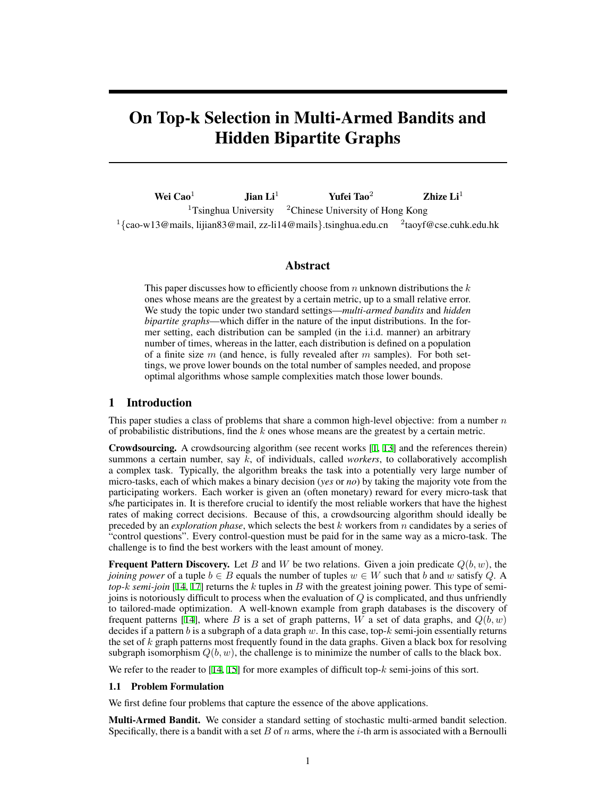# On Top-k Selection in Multi-Armed Bandits and Hidden Bipartite Graphs

Wei Cao<sup>1</sup> Jian Li<sup>1</sup> Yufei Tao<sup>2</sup> Zhize Li<sup>1</sup> <sup>1</sup>Tsinghua University  $\frac{2}{3}$ Chinese University of Hong Kong <sup>1</sup>{cao-w13@mails, lijian83@mail, zz-li14@mails}.tsinghua.edu.cn <sup>2</sup>taoyf@cse.cuhk.edu.hk

## Abstract

This paper discusses how to efficiently choose from *n* unknown distributions the *k* ones whose means are the greatest by a certain metric, up to a small relative error. We study the topic under two standard settings—*multi-armed bandits* and *hidden bipartite graphs*—which differ in the nature of the input distributions. In the former setting, each distribution can be sampled (in the i.i.d. manner) an arbitrary number of times, whereas in the latter, each distribution is defined on a population of a finite size *m* (and hence, is fully revealed after *m* samples). For both settings, we prove lower bounds on the total number of samples needed, and propose optimal algorithms whose sample complexities match those lower bounds.

## <span id="page-0-1"></span>1 Introduction

This paper studies a class of problems that share a common high-level objective: from a number *n* of probabilistic distributions, find the *k* ones whose means are the greatest by a certain metric.

Crowdsourcing. A crowdsourcing algorithm (see recent works [\[1](#page-8-0), [13\]](#page-8-1) and the references therein) summons a certain number, say *k*, of individuals, called *workers*, to collaboratively accomplish a complex task. Typically, the algorithm breaks the task into a potentially very large number of micro-tasks, each of which makes a binary decision (*yes* or *no*) by taking the majority vote from the participating workers. Each worker is given an (often monetary) reward for every micro-task that s/he participates in. It is therefore crucial to identify the most reliable workers that have the highest rates of making correct decisions. Because of this, a crowdsourcing algorithm should ideally be preceded by an *exploration phase*, which selects the best *k* workers from *n* candidates by a series of "control questions". Every control-question must be paid for in the same way as a micro-task. The challenge is to find the best workers with the least amount of money.

**Frequent Pattern Discovery.** Let *B* and *W* be two relations. Given a join predicate  $Q(b, w)$ , the *joining power* of a tuple  $b \in B$  equals the number of tuples  $w \in W$  such that b and w satisfy Q. A *top-k semi-join* [[14,](#page-8-2) [17](#page-8-3)] returns the *k* tuples in *B* with the greatest joining power. This type of semijoins is notoriously difficult to process when the evaluation of *Q* is complicated, and thus unfriendly to tailored-made optimization. A well-known example from graph databases is the discovery of frequent patterns [\[14](#page-8-2)], where *B* is a set of graph patterns, *W* a set of data graphs, and  $Q(b, w)$ decides if a pattern *b* is a subgraph of a data graph *w*. In this case, top-*k* semi-join essentially returns the set of *k* graph patterns most frequently found in the data graphs. Given a black box for resolving subgraph isomorphism  $Q(b, w)$ , the challenge is to minimize the number of calls to the black box.

We refer to the reader to  $[14, 15]$  $[14, 15]$  $[14, 15]$  $[14, 15]$  for more examples of difficult top- $k$  semi-joins of this sort.

#### <span id="page-0-0"></span>1.1 Problem Formulation

We first define four problems that capture the essence of the above applications.

Multi-Armed Bandit. We consider a standard setting of stochastic multi-armed bandit selection. Specifically, there is a bandit with a set *B* of *n* arms, where the *i*-th arm is associated with a Bernoulli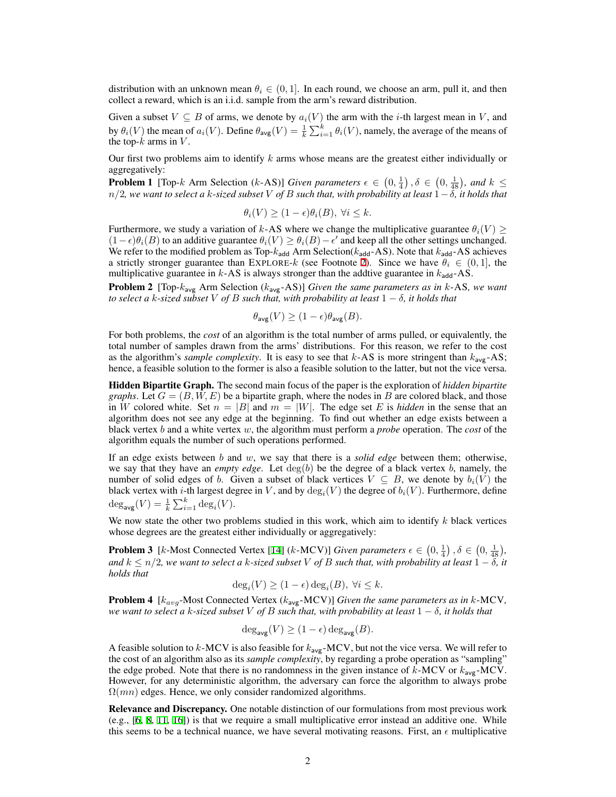distribution with an unknown mean  $\theta_i \in (0, 1]$ . In each round, we choose an arm, pull it, and then collect a reward, which is an i.i.d. sample from the arm's reward distribution.

Given a subset  $V \subseteq B$  of arms, we denote by  $a_i(V)$  the arm with the *i*-th largest mean in *V*, and by  $\theta_i(V)$  the mean of  $a_i(V)$ . Define  $\theta_{\text{avg}}(V) = \frac{1}{k} \sum_{i=1}^k \theta_i(V)$ , namely, the average of the means of the top-*k* arms in *V* .

<span id="page-1-0"></span>Our first two problems aim to identify *k* arms whose means are the greatest either individually or aggregatively:

**Problem 1** [Top-*k* Arm Selection (*k*-AS)] *Given parameters*  $\epsilon \in (0, \frac{1}{4})$ ,  $\delta \in (0, \frac{1}{48})$ , and  $k \leq$ *n/*2*, we want to select a k-sized subset V of B such that, with probability at least* 1*−δ, it holds that*

$$
\theta_i(V) \ge (1 - \epsilon)\theta_i(B), \ \forall i \le k.
$$

Furthermore, we study a variation of *k*-AS where we change the multiplicative guarantee  $\theta_i(V) \geq$  $(1 − \epsilon)\theta_i(B)$  to an additive guarantee  $\theta_i(V) \ge \theta_i(B) - \epsilon'$  and keep all the other settings unchanged. We refer to the modified problem as Top- $k_{\text{add}}$  Arm Selection( $k_{\text{add}}$ -AS). Note that  $k_{\text{add}}$ -AS achieves a strictly stronger guarantee than EXPLORE-*k* (see Footnote [2\)](#page-3-0). Since we have  $\theta_i \in (0,1]$ , the multiplicative guarantee in  $k$ -AS is always stronger than the addtive guarantee in  $k_{\text{add}}$ -AS.

<span id="page-1-1"></span>Problem 2 [Top-*k*avg Arm Selection (*k*avg-AS)] *Given the same parameters as in k*-AS*, we want to select a k-sized subset V of B such that, with probability at least*  $1 - \delta$ *, it holds that* 

$$
\theta_{\text{avg}}(V) \ge (1 - \epsilon)\theta_{\text{avg}}(B).
$$

For both problems, the *cost* of an algorithm is the total number of arms pulled, or equivalently, the total number of samples drawn from the arms' distributions. For this reason, we refer to the cost as the algorithm's *sample complexity*. It is easy to see that *k*-AS is more stringent than *k*avg-AS; hence, a feasible solution to the former is also a feasible solution to the latter, but not the vice versa.

Hidden Bipartite Graph. The second main focus of the paper is the exploration of *hidden bipartite graphs*. Let  $G = (B, W, E)$  be a bipartite graph, where the nodes in B are colored black, and those in *W* colored white. Set  $n = |B|$  and  $m = |W|$ . The edge set *E* is *hidden* in the sense that an algorithm does not see any edge at the beginning. To find out whether an edge exists between a black vertex *b* and a white vertex *w*, the algorithm must perform a *probe* operation. The *cost* of the algorithm equals the number of such operations performed.

If an edge exists between *b* and *w*, we say that there is a *solid edge* between them; otherwise, we say that they have an *empty edge*. Let deg(*b*) be the degree of a black vertex *b*, namely, the number of solid edges of *b*. Given a subset of black vertices  $V \subseteq B$ , we denote by  $b_i(V)$  the black vertex with *i*-th largest degree in *V*, and by  $deg_i(V)$  the degree of  $b_i(V)$ . Furthermore, define  $deg_{avg}(V) = \frac{1}{k} \sum_{i=1}^{k} deg_i(V).$ 

We now state the other two problems studied in this work, which aim to identify *k* black vertices whose degrees are the greatest either individually or aggregatively:

**Problem 3** [ $k$ -Most Connected Vertex [[14](#page-8-2)] ( $k$ -MCV)] *Given parameters*  $\epsilon \in (0, \frac{1}{4})$ ,  $\delta \in (0, \frac{1}{48})$ , *and k ≤ n/*2*, we want to select a k-sized subset V of B such that, with probability at least* 1 *− δ, it holds that*

<span id="page-1-2"></span>
$$
\deg_i(V) \ge (1 - \epsilon) \deg_i(B), \ \forall i \le k.
$$

<span id="page-1-3"></span>Problem 4 [*kavg*-Most Connected Vertex (*k*avg-MCV)] *Given the same parameters as in k*-MCV*, we want to select a k-sized subset V of B such that, with probability at least* 1 *− δ, it holds that*

$$
\deg_{\text{avg}}(V) \ge (1 - \epsilon) \deg_{\text{avg}}(B).
$$

A feasible solution to *k*-MCV is also feasible for *k*avg-MCV, but not the vice versa. We will refer to the cost of an algorithm also as its *sample complexity*, by regarding a probe operation as "sampling" the edge probed. Note that there is no randomness in the given instance of  $k$ -MCV or  $k_{avg}$ -MCV. However, for any deterministic algorithm, the adversary can force the algorithm to always probe  $\Omega(mn)$  edges. Hence, we only consider randomized algorithms.

Relevance and Discrepancy. One notable distinction of our formulations from most previous work (e.g., [[6,](#page-8-5) [8](#page-8-6), [11](#page-8-7), [16\]](#page-8-8)) is that we require a small multiplicative error instead an additive one. While this seems to be a technical nuance, we have several motivating reasons. First, an  $\epsilon$  multiplicative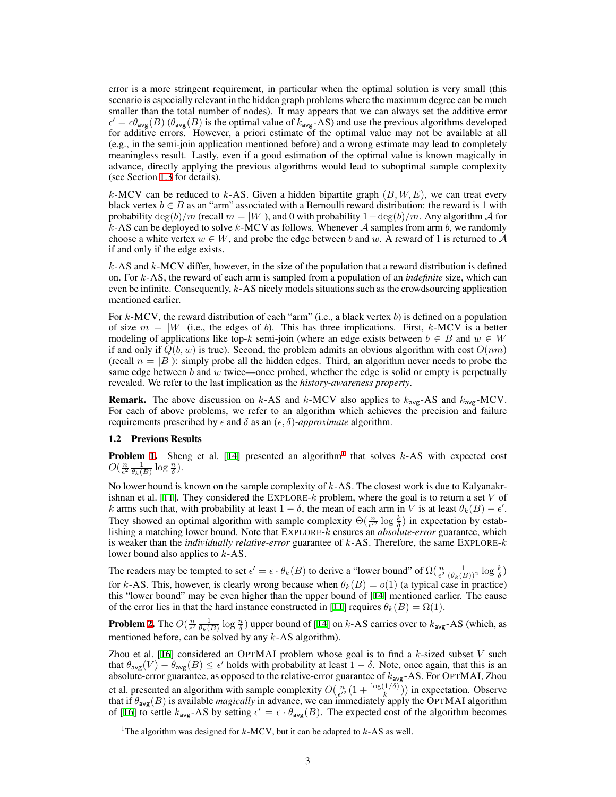error is a more stringent requirement, in particular when the optimal solution is very small (this scenario is especially relevant in the hidden graph problems where the maximum degree can be much smaller than the total number of nodes). It may appears that we can always set the additive error  $\epsilon' = \epsilon \theta_{\text{avg}}(B)$  ( $\theta_{\text{avg}}(B)$  is the optimal value of  $k_{\text{avg}}$ -AS) and use the previous algorithms developed for additive errors. However, a priori estimate of the optimal value may not be available at all (e.g., in the semi-join application mentioned before) and a wrong estimate may lead to completely meaningless result. Lastly, even if a good estimation of the optimal value is known magically in advance, directly applying the previous algorithms would lead to suboptimal sample complexity (see Section [1.3](#page-3-0) for details).

*k*-MCV can be reduced to *k*-AS. Given a hidden bipartite graph (*B, W, E*), we can treat every black vertex  $b \in B$  as an "arm" associated with a Bernoulli reward distribution: the reward is 1 with probability  $\deg(b)/m$  (recall  $m = |W|$ ), and 0 with probability  $1 - \deg(b)/m$ . Any algorithm *A* for *k*-AS can be deployed to solve *k*-MCV as follows. Whenever *A* samples from arm *b*, we randomly choose a white vertex  $w \in W$ , and probe the edge between *b* and *w*. A reward of 1 is returned to A if and only if the edge exists.

*k*-AS and *k*-MCV differ, however, in the size of the population that a reward distribution is defined on. For *k*-AS, the reward of each arm is sampled from a population of an *indefinite* size, which can even be infinite. Consequently, *k*-AS nicely models situations such as the crowdsourcing application mentioned earlier.

For *k*-MCV, the reward distribution of each "arm" (i.e., a black vertex *b*) is defined on a population of size  $m = |W|$  (i.e., the edges of b). This has three implications. First,  $k$ -MCV is a better modeling of applications like top-*k* semi-join (where an edge exists between  $b \in B$  and  $w \in W$ if and only if  $Q(b, w)$  is true). Second, the problem admits an obvious algorithm with cost  $O(nm)$ (recall  $n = |B|$ ): simply probe all the hidden edges. Third, an algorithm never needs to probe the same edge between *b* and *w* twice—once probed, whether the edge is solid or empty is perpetually revealed. We refer to the last implication as the *history-awareness property*.

**Remark.** The above discussion on  $k$ -AS and  $k$ -MCV also applies to  $k_{avg}$ -AS and  $k_{avg}$ -MCV. For each of above problems, we refer to an algorithm which achieves the precision and failure requirements prescribed by  $\epsilon$  and  $\delta$  as an  $(\epsilon, \delta)$ *-approximate* algorithm.

#### <span id="page-2-0"></span>1.2 Previous Results

**Problem [1](#page-1-0).** Sheng et al. [[14\]](#page-8-2) presented an algorithm<sup>1</sup> that solves  $k$ -AS with expected cost  $O(\frac{n}{\epsilon^2} \frac{1}{\theta_k(B)} \log \frac{n}{\delta}).$ 

No lower bound is known on the sample complexity of *k*-AS. The closest work is due to Kalyanakrishnan et al. [\[11](#page-8-7)]. They considered the EXPLORE-*k* problem, where the goal is to return a set *V* of *k* arms such that, with probability at least  $1 - \delta$ , the mean of each arm in *V* is at least  $\theta_k(B) - \epsilon'$ . They showed an optimal algorithm with sample complexity  $\Theta(\frac{n}{\epsilon'^2} \log \frac{k}{\delta})$  in expectation by establishing a matching lower bound. Note that EXPLORE-*k* ensures an *absolute-error* guarantee, which is weaker than the *individually relative-error* guarantee of *k*-AS. Therefore, the same EXPLORE-*k* lower bound also applies to *k*-AS.

The readers may be tempted to set  $\epsilon' = \epsilon \cdot \theta_k(B)$  to derive a "lower bound" of  $\Omega(\frac{n}{\epsilon^2} \frac{1}{(\theta_k(B))^2} \log \frac{k}{\delta})$ for *k*-AS. This, however, is clearly wrong because when  $\theta_k(B) = o(1)$  (a typical case in practice) this "lower bound" may be even higher than the upper bound of [\[14](#page-8-2)] mentioned earlier. The cause of the error lies in that the hard instance constructed in [\[11](#page-8-7)] requires  $\theta_k(B) = \Omega(1)$ .

**Problem [2.](#page-1-1)** The  $O(\frac{n}{\epsilon^2} \frac{1}{\theta_k(B)} \log \frac{n}{\delta})$  upper bound of [\[14](#page-8-2)] on *k*-AS carries over to  $k_{avg}$ -AS (which, as mentioned before, can be solved by any *k*-AS algorithm).

Zhou et al. [[16\]](#page-8-8) considered an OPTMAI problem whose goal is to find a *k*-sized subset *V* such that  $\theta_{\text{avg}}(V) - \theta_{\text{avg}}(B) \le \epsilon'$  holds with probability at least  $1 - \delta$ . Note, once again, that this is an absolute-error guarantee, as opposed to the relative-error guarantee of *k*avg-AS. For OPTMAI, Zhou et al. presented an algorithm with sample complexity  $O(\frac{n}{\epsilon^2}(1 + \frac{\log(1/\delta)}{k}))$  in expectation. Observe that if *θ*avg(*B*) is available *magically* in advance, we can immediately apply the OPTMAI algorithm of [[16\]](#page-8-8) to settle  $k_{avg}$ -AS by setting  $\epsilon' = \epsilon \cdot \theta_{avg}(B)$ . The expected cost of the algorithm becomes

<sup>&</sup>lt;sup>1</sup>The algorithm was designed for  $k$ -MCV, but it can be adapted to  $k$ -AS as well.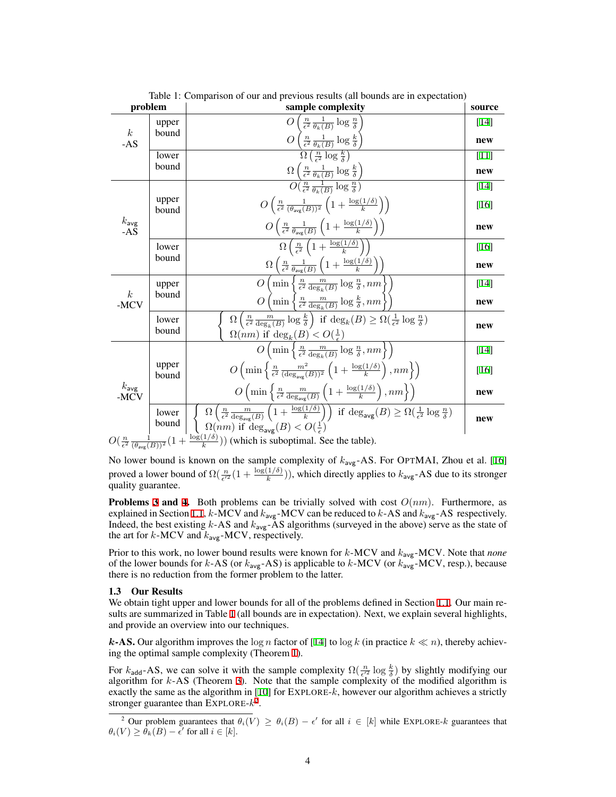| problem                   |                          | $\epsilon$ -<br>$\mu$ and $\mu$ and $\mu$ and $\mu$<br>sample complexity                                                                                                                                        | source |
|---------------------------|--------------------------|-----------------------------------------------------------------------------------------------------------------------------------------------------------------------------------------------------------------|--------|
| $\boldsymbol{k}$<br>$-AS$ | upper                    | $\left(\frac{n}{\epsilon^2} \frac{1}{\theta_k(B)} \log \frac{n}{\delta}\right)$<br>$\overline{O}$                                                                                                               | [14]   |
|                           | bound                    | $O\left(\frac{n}{\epsilon^2} \frac{1}{\theta_k(B)} \log \frac{k}{\delta}\right)$                                                                                                                                | new    |
|                           | lower                    | $\Omega\left(\frac{n}{\epsilon^2}\log\frac{k}{\delta}\right)$                                                                                                                                                   | $[11]$ |
|                           | bound                    | $\Omega\left(\frac{n}{\epsilon^2} \frac{1}{\theta_k(B)} \log \frac{k}{\delta}\right)$                                                                                                                           | new    |
| $k_{avg}$<br>-AS          | upper<br>bound           | $O(\frac{n}{\epsilon^2} \frac{1}{\theta_1(R)} \log \frac{n}{\delta})$                                                                                                                                           | $[14]$ |
|                           |                          | $O\left(\frac{n}{\epsilon^2} \frac{1}{(\theta_{\text{ave}}(B))^2} \left(1 + \frac{\log(1/\delta)}{k}\right)\right)$                                                                                             | [16]   |
|                           |                          | $O\left(\frac{n}{\epsilon^2} \frac{1}{\theta_{\text{avg}}(B)} \left(1 + \frac{\log(1/\delta)}{k}\right)\right)$                                                                                                 | new    |
|                           | lower<br>bound           | $\Omega\left(\frac{n}{\epsilon^2}\left(1+\frac{\log(1/\delta)}{k}\right)\right)$                                                                                                                                | [16]   |
|                           |                          | $\Omega\left(\frac{n}{\epsilon^2}\frac{1}{\theta_{\text{avg}}(B)}\left(1+\frac{\log(1/\delta)}{k}\right)\right)$                                                                                                | new    |
| $\boldsymbol{k}$<br>-MCV  | upper<br>bound           | ${\cal O}$<br>$\min\left\{\frac{n}{\epsilon^2}\frac{m}{\deg_L(B)}\log\frac{n}{\delta}, nm\right\}$                                                                                                              | [14]   |
|                           |                          | $\overline{O}$<br>$\left(\min\left\{\frac{n}{\epsilon^2}\frac{m}{\deg_h(B)}\log\frac{k}{\delta}, nm\right\}\right)$                                                                                             | new    |
|                           | lower<br>bound           | $\Omega\left(\frac{n}{\epsilon^2}\frac{m}{\deg_h(B)}\log\frac{k}{\delta}\right)$ if $\deg_k(B) \geq \Omega\left(\frac{1}{\epsilon^2}\log\frac{n}{\delta}\right)$                                                | new    |
|                           |                          | $\Omega(nm)$ if $\deg_k(B) < O(\frac{1}{\epsilon})$                                                                                                                                                             |        |
| $k_{avg}$<br>-MCV         | upper<br>bound           | $O\left(\min\left\{\frac{n}{\epsilon^2}\frac{m}{\deg_k(B)}\log\frac{n}{\delta}, nm\right\}\right)$                                                                                                              | [14]   |
|                           |                          | $O\left(\min\left\{\frac{n}{\epsilon^2}\frac{m^2}{(\deg_{\text{av}}(B))^2}\left(1+\frac{\log(1/\delta)}{k}\right), nm\right\}\right)$                                                                           | [16]   |
|                           |                          | $O\left(\min\left\{\frac{n}{\epsilon^2}\frac{m}{\deg_{\text{avg}}(B)}\left(1+\frac{\log(1/\delta)}{k}\right), nm\right\}\right)$                                                                                | new    |
|                           | lower<br>bound<br>$\sim$ | $\Omega\left(\frac{n}{\epsilon^2}\frac{m}{\deg_{\text{avg}}(B)}\left(1+\frac{\log(1/\delta)}{k}\right)\right) \text{ if } \deg_{\text{avg}}(B) \ge \Omega\left(\frac{1}{\epsilon^2}\log\frac{n}{\delta}\right)$ | new    |
|                           |                          | $\Omega(nm)$ if $\deg_{\text{avg}}(B) < O(\frac{1}{\epsilon})$<br>$\log(1/\delta)$ $\ldots$ $\ldots$                                                                                                            |        |

<span id="page-3-1"></span>Table 1: Comparison of our and previous results (all bounds are in expectation)

$$
O\left(\frac{n}{\epsilon^2} \frac{1}{(\theta_{\text{avg}}(B))^2} \left(1 + \frac{\log(1/\delta)}{k}\right)\right)
$$
 (which is suboptimal. See the table).

No lower bound is known on the sample complexity of *k*avg-AS. For OPTMAI, Zhou et al. [[16\]](#page-8-8) proved a lower bound of  $\Omega(\frac{n}{\epsilon'^2}(1+\frac{\log(1/\delta)}{k}))$ , which directly applies to  $k_{\text{avg}}$ -AS due to its stronger quality guarantee.

**Problems [3](#page-1-2) and [4](#page-1-3).** Both problems can be trivially solved with cost  $O(nm)$ . Furthermore, as explained in Section [1.1](#page-0-0), *k*-MCV and *k*avg-MCV can be reduced to *k*-AS and *k*avg-AS respectively. Indeed, the best existing *k*-AS and *k*avg-AS algorithms (surveyed in the above) serve as the state of the art for  $k$ -MCV and  $k_{avg}$ -MCV, respectively.

Prior to this work, no lower bound results were known for *k*-MCV and *k*avg-MCV. Note that *none* of the lower bounds for *k*-AS (or *k*avg-AS) is applicable to *k*-MCV (or *k*avg-MCV, resp.), because there is no reduction from the former problem to the latter.

#### <span id="page-3-0"></span>1.3 Our Results

We obtain tight upper and lower bounds for all of the problems defined in Section [1.1](#page-0-0). Our main results are summarized in Table [1](#page-3-1) (all bounds are in expectation). Next, we explain several highlights, and provide an overview into our techniques.

*k*-AS. Our algorithm improves the log *n* factor of [[14\]](#page-8-2) to log *k* (in practice  $k \ll n$ ), thereby achieving the optimal sample complexity (Theorem [1](#page-4-0)).

For  $k_{\text{add}}$ -AS, we can solve it with the sample complexity  $\Omega(\frac{n}{\epsilon'^2} \log \frac{k}{\delta})$  by slightly modifying our algorithm for *k*-AS (Theorem [3\)](#page-5-0). Note that the sample complexity of the modified algorithm is exactly the same as the algorithm in [\[10](#page-8-9)] for EXPLORE-*k*, however our algorithm achieves a strictly stronger guarantee than EXPLORE-*k* 2 .

<sup>&</sup>lt;sup>2</sup> Our problem guarantees that  $\theta_i(V) \ge \theta_i(B) - \epsilon'$  for all  $i \in [k]$  while EXPLORE- $k$  guarantees that  $\theta_i(V) \geq \theta_k(B) - \epsilon'$  for all  $i \in [k]$ .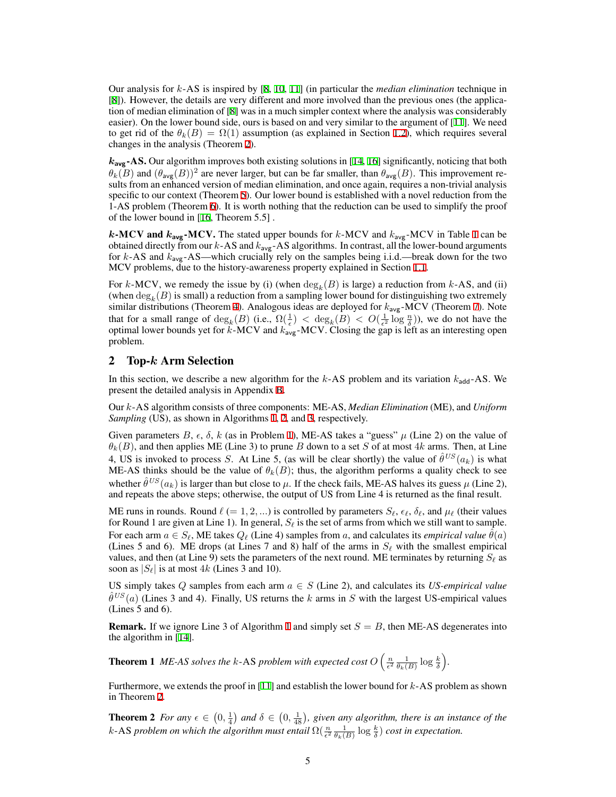Our analysis for *k*-AS is inspired by [\[8](#page-8-6), [10,](#page-8-9) [11\]](#page-8-7) (in particular the *median elimination* technique in [\[8](#page-8-6)]). However, the details are very different and more involved than the previous ones (the application of median elimination of [[8\]](#page-8-6) was in a much simpler context where the analysis was considerably easier). On the lower bound side, ours is based on and very similar to the argument of [\[11](#page-8-7)]. We need to get rid of the  $\theta_k(B) = \Omega(1)$  assumption (as explained in Section [1.2\)](#page-2-0), which requires several changes in the analysis (Theorem [2\)](#page-4-1).

*k***avg**-AS. Our algorithm improves both existing solutions in [[14,](#page-8-2) [16](#page-8-8)] significantly, noticing that both  $\theta_k(\overline{B})$  and  $(\theta_{\text{avg}}(B))^2$  are never larger, but can be far smaller, than  $\theta_{\text{avg}}(B)$ . This improvement results from an enhanced version of median elimination, and once again, requires a non-trivial analysis specific to our context (Theorem [5\)](#page-6-0). Our lower bound is established with a novel reduction from the 1-AS problem (Theorem [6](#page-6-1)). It is worth nothing that the reduction can be used to simplify the proof of the lower bound in [\[16](#page-8-8), Theorem 5.5] .

*k*-MCV and *k***avg**-MCV. The stated upper bounds for *k*-MCV and *k*avg-MCV in Table [1](#page-3-1) can be obtained directly from our *k*-AS and *k*avg-AS algorithms. In contrast, all the lower-bound arguments for *k*-AS and *k*avg-AS—which crucially rely on the samples being i.i.d.—break down for the two MCV problems, due to the history-awareness property explained in Section [1.1.](#page-0-0)

For *k*-MCV, we remedy the issue by (i) (when  $deg_k(B)$  is large) a reduction from *k*-AS, and (ii) (when  $\deg_k(B)$  is small) a reduction from a sampling lower bound for distinguishing two extremely similar distributions (Theorem [4\)](#page-5-1). Analogous ideas are deployed for *k*avg-MCV (Theorem [7\)](#page-6-2). Note that for a small range of  $\deg_k(B)$  (i.e.,  $\Omega(\frac{1}{\epsilon}) < \deg_k(B) < O(\frac{1}{\epsilon^2} \log \frac{n}{\delta})$ ), we do not have the optimal lower bounds yet for *k*-MCV and *k*avg-MCV. Closing the gap is left as an interesting open problem.

## <span id="page-4-2"></span>2 Top-*k* Arm Selection

In this section, we describe a new algorithm for the  $k$ -AS problem and its variation  $k_{\text{add}}$ -AS. We present the detailed analysis in Appendix [B](#page-9-0).

Our *k*-AS algorithm consists of three components: ME-AS, *Median Elimination* (ME), and *Uniform Sampling* (US), as shown in Algorithms [1,](#page-5-2) [2,](#page-5-3) and [3](#page-5-4), respectively.

Given parameters  $B$ ,  $\epsilon$ ,  $\delta$ ,  $k$  (as in Problem [1\)](#page-1-0), ME-AS takes a "guess"  $\mu$  (Line 2) on the value of *θk*(*B*), and then applies ME (Line 3) to prune *B* down to a set *S* of at most 4*k* arms. Then, at Line 4, US is invoked to process *S*. At Line 5, (as will be clear shortly) the value of  $\hat{\theta}^{US}(a_k)$  is what ME-AS thinks should be the value of  $\theta_k(B)$ ; thus, the algorithm performs a quality check to see whether  $\hat{\theta}^{US}(a_k)$  is larger than but close to  $\mu$ . If the check fails, ME-AS halves its guess  $\mu$  (Line 2), and repeats the above steps; otherwise, the output of US from Line 4 is returned as the final result.

ME runs in rounds. Round  $\ell$  (= 1, 2, ...) is controlled by parameters  $S_{\ell}$ ,  $\epsilon_{\ell}$ ,  $\delta_{\ell}$ , and  $\mu_{\ell}$  (their values for Round 1 are given at Line 1). In general, *S<sup>ℓ</sup>* is the set of arms from which we still want to sample. For each arm  $a \in S_\ell$ , ME takes  $Q_\ell$  (Line 4) samples from *a*, and calculates its *empirical value*  $\theta(a)$ (Lines 5 and 6). ME drops (at Lines 7 and 8) half of the arms in  $S_\ell$  with the smallest empirical values, and then (at Line 9) sets the parameters of the next round. ME terminates by returning  $S_\ell$  as soon as  $|S_\ell|$  is at most 4*k* (Lines 3 and 10).

US simply takes  $Q$  samples from each arm  $a \in S$  (Line 2), and calculates its *US-empirical value*  $\hat{\theta}^{US}(a)$  (Lines 3 and 4). Finally, US returns the *k* arms in *S* with the largest US-empirical values (Lines 5 and 6).

<span id="page-4-0"></span>**Remark.** If we ignore Line 3 of Algorithm [1](#page-5-2) and simply set  $S = B$ , then ME-AS degenerates into the algorithm in [\[14](#page-8-2)].

**Theorem 1** *ME-AS solves the k-AS problem with expected cost*  $O\left(\frac{n}{\epsilon^2} \frac{1}{\theta_k(B)} \log \frac{k}{\delta}\right)$ .

<span id="page-4-1"></span>Furthermore, we extends the proof in [\[11](#page-8-7)] and establish the lower bound for *k*-AS problem as shown in Theorem [2.](#page-4-1)

**Theorem 2** *For any*  $\epsilon \in (0, \frac{1}{4})$  *and*  $\delta \in (0, \frac{1}{48})$ *, given any algorithm, there is an instance of the k*-AS *problem on which the algorithm must entail*  $\Omega(\frac{n}{\epsilon^2} \frac{1}{\theta_k(B)} \log \frac{k}{\delta})$  *cost in expectation.*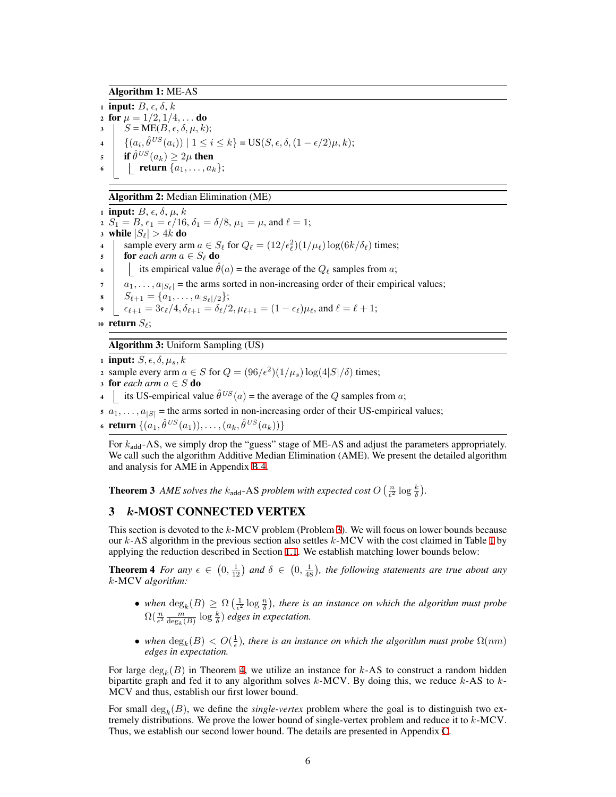Algorithm 1: ME-AS

<span id="page-5-2"></span>1 **input:**  $B, \epsilon, \delta, k$ 2 for  $\mu = 1/2, 1/4, \ldots$  do  $S = ME(B, \epsilon, \delta, \mu, k);$  $\{ (a_i, \hat{\theta}^{US}(a_i)) \mid 1 \leq i \leq k \} = \text{US}(S, \epsilon, \delta, (1 - \epsilon/2)\mu, k);$  $\int$  if  $\hat{\theta}^{US}(a_k) \geq 2\mu$  then  $\bullet$  **| return**  $\{a_1, \ldots, a_k\};$ 

#### Algorithm 2: Median Elimination (ME)

<span id="page-5-3"></span>1 **input:**  $B, \epsilon, \delta, \mu, k$ 2  $S_1 = B$ ,  $\epsilon_1 = \epsilon/16$ ,  $\delta_1 = \delta/8$ ,  $\mu_1 = \mu$ , and  $\ell = 1$ ; 3 while  $|S_{\ell}| > 4k$  do 4  $\Big|$  sample every arm  $a \in S_\ell$  for  $Q_\ell = (12/\epsilon_\ell^2)(1/\mu_\ell) \log(6k/\delta_\ell)$  times; 5 **for** *each arm*  $a \in S_\ell$  **do** 6 its empirical value  $\theta(a)$  = the average of the  $Q_\ell$  samples from *a*;  $a_1, \ldots, a_{|S_\ell|}$  = the arms sorted in non-increasing order of their empirical values;  $S_{\ell+1} = \{a_1, \ldots, a_{|S_{\ell}|/2}\};$  $\epsilon_{\ell+1} = 3\epsilon_{\ell}/4, \delta_{\ell+1} = \delta_{\ell}/2, \mu_{\ell+1} = (1 - \epsilon_{\ell})\mu_{\ell}, \text{ and } \ell = \ell + 1;$ 

<sup>10</sup> return *Sℓ*;

Algorithm 3: Uniform Sampling (US)

<span id="page-5-4"></span>1 **input:**  $S, \epsilon, \delta, \mu_s, k$ 

2 sample every arm  $a \in S$  for  $Q = (96/\epsilon^2)(1/\mu_s) \log(4|S|/\delta)$  times;

3 for *each arm*  $a \in S$  do

4 its US-empirical value  $\hat{\theta}^{US}(a)$  = the average of the *Q* samples from *a*;

 $a_1, \ldots, a_{|S|}$  = the arms sorted in non-increasing order of their US-empirical values;

 $\{ (a_1, \hat{\theta}^{US}(a_1)), \ldots, (a_k, \hat{\theta}^{US}(a_k)) \}$ 

For  $k_{\text{add}}$ -AS, we simply drop the "guess" stage of ME-AS and adjust the parameters appropriately. We call such the algorithm Additive Median Elimination (AME). We present the detailed algorithm and analysis for AME in Appendix [B.4](#page-17-0).

<span id="page-5-0"></span>**Theorem 3** AME solves the  $k_{\text{add}}$ -AS problem with expected cost  $O\left(\frac{n}{\epsilon^2}\log\frac{k}{\delta}\right)$ .

# 3 *k*-MOST CONNECTED VERTEX

This section is devoted to the *k*-MCV problem (Problem [3\)](#page-1-2). We will focus on lower bounds because our *k*-AS algorithm in the previous section also settles *k*-MCV with the cost claimed in Table [1](#page-3-1) by applying the reduction described in Section [1.1.](#page-0-0) We establish matching lower bounds below:

<span id="page-5-1"></span>**Theorem 4** *For any*  $\epsilon \in (0, \frac{1}{12})$  *and*  $\delta \in (0, \frac{1}{48})$ *, the following statements are true about any k*-MCV *algorithm:*

- *when*  $\deg_k(B) \geq \Omega\left(\frac{1}{\epsilon^2} \log \frac{n}{\delta}\right)$ , there is an instance on which the algorithm must probe  $\Omega(\frac{n}{\epsilon^2}\frac{m}{\deg_k(B)}\log\frac{k}{\delta})$  edges in expectation.
- *when*  $\deg_k(B) < O(\frac{1}{\epsilon})$ , there is an instance on which the algorithm must probe  $\Omega(nm)$ *edges in expectation.*

For large deg*<sup>k</sup>* (*B*) in Theorem [4](#page-5-1), we utilize an instance for *k*-AS to construct a random hidden bipartite graph and fed it to any algorithm solves *k*-MCV. By doing this, we reduce *k*-AS to *k*-MCV and thus, establish our first lower bound.

For small  $deg_k(B)$ , we define the *single-vertex* problem where the goal is to distinguish two extremely distributions. We prove the lower bound of single-vertex problem and reduce it to *k*-MCV. Thus, we establish our second lower bound. The details are presented in Appendix [C](#page-17-1).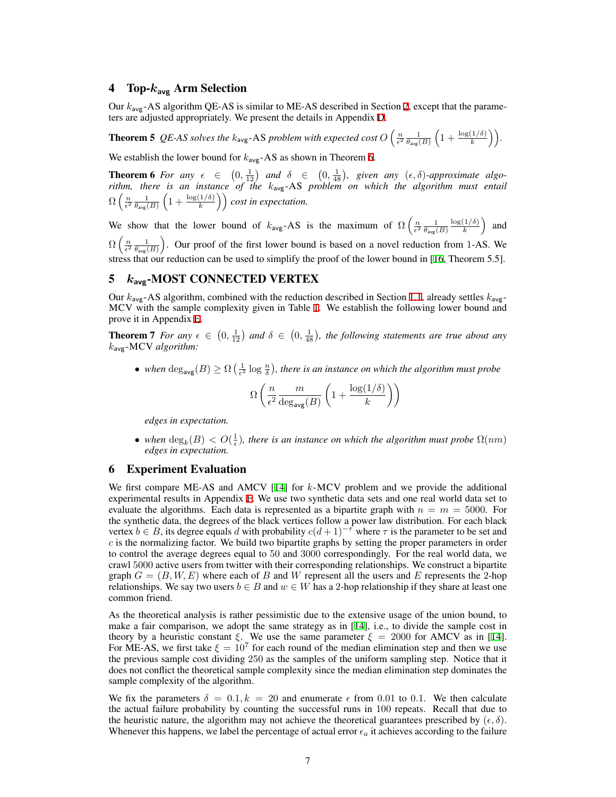# 4 Top-*k***avg** Arm Selection

Our *k*avg-AS algorithm QE-AS is similar to ME-AS described in Section [2](#page-4-2), except that the parameters are adjusted appropriately. We present the details in Appendix [D](#page-19-0).

<span id="page-6-0"></span>**Theorem 5** QE-AS solves the  $k_{\text{avg}}$ -AS problem with expected cost  $O\left(\frac{n}{\epsilon^2} \frac{1}{\theta_{\text{avg}}(B)} \left(1 + \frac{\log(1/\delta)}{k}\right)\right)$ .

<span id="page-6-1"></span>We establish the lower bound for  $k_{\text{avg}}$ -AS as shown in Theorem [6](#page-6-1).

**Theorem 6** For any  $\epsilon \in (0, \frac{1}{12})$  and  $\delta \in (0, \frac{1}{48})$ , given any  $(\epsilon, \delta)$ -approximate algo*rithm, there is an instance of the k*avg-AS *problem on which the algorithm must entail*  $\Omega\left(\frac{n}{\epsilon^2}\frac{1}{\theta_{\sf avg}(B)}\left(1+\frac{\log(1/\delta)}{k}\right)\right)$  *cost in expectation.* 

We show that the lower bound of  $k_{avg}$ -AS is the maximum of  $\Omega\left(\frac{n}{\epsilon^2} \frac{1}{\theta_{avg}(B)}\right)$ log(1*/δ*)  $\left(\frac{1/\delta)}{k}\right)$  and  $\Omega\left(\frac{n}{\epsilon^2} \frac{1}{\theta_{avg}(B)}\right)$ . Our proof of the first lower bound is based on a novel reduction from 1-AS. We stress that our reduction can be used to simplify the proof of the lower bound in [[16,](#page-8-8) Theorem 5.5].

# 5 *k***avg**-MOST CONNECTED VERTEX

Our *k*avg-AS algorithm, combined with the reduction described in Section [1.1](#page-0-0), already settles *k*avg-MCV with the sample complexity given in Table [1.](#page-3-1) We establish the following lower bound and prove it in Appendix [E](#page-26-0).

<span id="page-6-2"></span>**Theorem 7** *For any*  $\epsilon \in (0, \frac{1}{12})$  and  $\delta \in (0, \frac{1}{48})$ , the following statements are true about any *k*avg-MCV *algorithm:*

• *when*  $\deg_{avg}(B) \ge \Omega\left(\frac{1}{\epsilon^2} \log \frac{n}{\delta}\right)$ , there is an instance on which the algorithm must probe

$$
\Omega\left(\frac{n}{\epsilon^2} \frac{m}{\deg_{\text{avg}}(B)} \left(1 + \frac{\log(1/\delta)}{k}\right)\right)
$$

*edges in expectation.*

• *when*  $\deg_k(B) < O(\frac{1}{\epsilon})$ , there is an instance on which the algorithm must probe  $\Omega(nm)$ *edges in expectation.*

## <span id="page-6-3"></span>6 Experiment Evaluation

We first compare ME-AS and AMCV [[14\]](#page-8-2) for *k*-MCV problem and we provide the additional experimental results in Appendix [F.](#page-27-0) We use two synthetic data sets and one real world data set to evaluate the algorithms. Each data is represented as a bipartite graph with  $n = m = 5000$ . For the synthetic data, the degrees of the black vertices follow a power law distribution. For each black vertex  $b \in B$ , its degree equals *d* with probability  $c(d+1)^{-\tau}$  where  $\tau$  is the parameter to be set and *c* is the normalizing factor. We build two bipartite graphs by setting the proper parameters in order to control the average degrees equal to 50 and 3000 correspondingly. For the real world data, we crawl 5000 active users from twitter with their corresponding relationships. We construct a bipartite graph  $G = (B, W, E)$  where each of *B* and *W* represent all the users and *E* represents the 2-hop relationships. We say two users  $b \in B$  and  $w \in W$  has a 2-hop relationship if they share at least one common friend.

As the theoretical analysis is rather pessimistic due to the extensive usage of the union bound, to make a fair comparison, we adopt the same strategy as in [\[14](#page-8-2)], i.e., to divide the sample cost in theory by a heuristic constant  $\xi$ . We use the same parameter  $\xi = 2000$  for AMCV as in [\[14](#page-8-2)]. For ME-AS, we first take  $\xi = 10^7$  for each round of the median elimination step and then we use the previous sample cost dividing 250 as the samples of the uniform sampling step. Notice that it does not conflict the theoretical sample complexity since the median elimination step dominates the sample complexity of the algorithm.

We fix the parameters  $\delta = 0.1, k = 20$  and enumerate  $\epsilon$  from 0.01 to 0.1. We then calculate the actual failure probability by counting the successful runs in 100 repeats. Recall that due to the heuristic nature, the algorithm may not achieve the theoretical guarantees prescribed by  $(\epsilon, \delta)$ . Whenever this happens, we label the percentage of actual error  $\epsilon_a$  it achieves according to the failure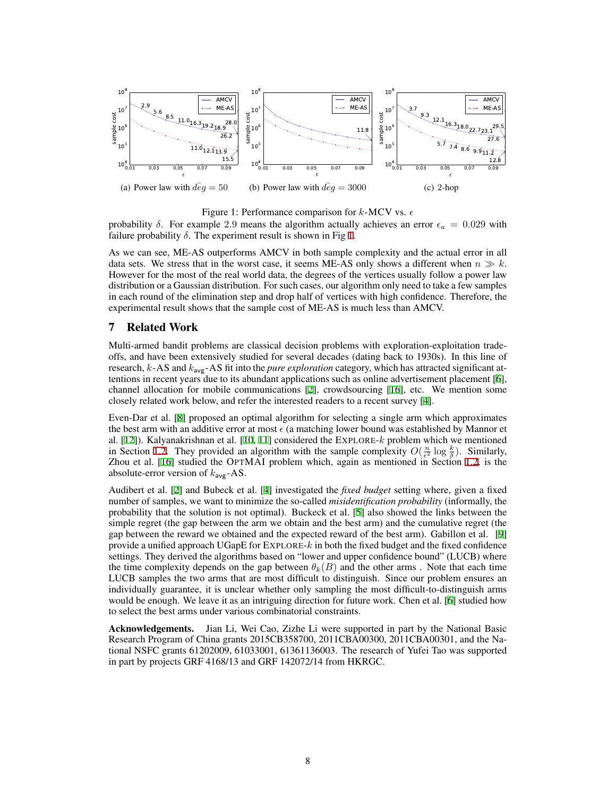

#### <span id="page-7-0"></span>Figure 1: Performance comparison for *k*-MCV vs. *ϵ*

probability  $\delta$ . For example 2.9 means the algorithm actually achieves an error  $\epsilon_a = 0.029$  with failure probability  $\delta$ . The experiment result is shown in Fig [1](#page-7-0).

As we can see, ME-AS outperforms AMCV in both sample complexity and the actual error in all data sets. We stress that in the worst case, it seems ME-AS only shows a different when  $n \gg k$ . However for the most of the real world data, the degrees of the vertices usually follow a power law distribution or a Gaussian distribution. For such cases, our algorithm only need to take a few samples in each round of the elimination step and drop half of vertices with high confidence. Therefore, the experimental result shows that the sample cost of ME-AS is much less than AMCV.

## 7 Related Work

Multi-armed bandit problems are classical decision problems with exploration-exploitation tradeoffs, and have been extensively studied for several decades (dating back to 1930s). In this line of research, *k*-AS and *k*avg-AS fit into the *pure exploration* category, which has attracted significant attentions in recent years due to its abundant applications such as online advertisement placement [\[6](#page-8-5)], channel allocation for mobile communications [\[2](#page-8-10)], crowdsourcing [[16\]](#page-8-8), etc. We mention some closely related work below, and refer the interested readers to a recent survey [[4\]](#page-8-11).

Even-Dar et al. [\[8](#page-8-6)] proposed an optimal algorithm for selecting a single arm which approximates the best arm with an additive error at most *ϵ* (a matching lower bound was established by Mannor et al. [[12\]](#page-8-12)). Kalyanakrishnan et al. [[10,](#page-8-9) [11\]](#page-8-7) considered the EXPLORE-*k* problem which we mentioned in Section [1.2](#page-2-0). They provided an algorithm with the sample complexity  $O(\frac{n}{\epsilon^2} \log \frac{k}{\delta})$ . Similarly, Zhou et al. [\[16](#page-8-8)] studied the OPTMAI problem which, again as mentioned in Section [1.2](#page-2-0), is the absolute-error version of *k*avg-AS.

Audibert et al. [\[2](#page-8-10)] and Bubeck et al. [\[4](#page-8-11)] investigated the *fixed budget* setting where, given a fixed number of samples, we want to minimize the so-called *misidentification probability* (informally, the probability that the solution is not optimal). Buckeck et al. [\[5](#page-8-13)] also showed the links between the simple regret (the gap between the arm we obtain and the best arm) and the cumulative regret (the gap between the reward we obtained and the expected reward of the best arm). Gabillon et al. [[9\]](#page-8-14) provide a unified approach UGapE for EXPLORE-*k* in both the fixed budget and the fixed confidence settings. They derived the algorithms based on "lower and upper confidence bound" (LUCB) where the time complexity depends on the gap between  $\theta_k(B)$  and the other arms. Note that each time LUCB samples the two arms that are most difficult to distinguish. Since our problem ensures an individually guarantee, it is unclear whether only sampling the most difficult-to-distinguish arms would be enough. We leave it as an intriguing direction for future work. Chen et al. [\[6](#page-8-5)] studied how to select the best arms under various combinatorial constraints.

Acknowledgements. Jian Li, Wei Cao, Zizhe Li were supported in part by the National Basic Research Program of China grants 2015CB358700, 2011CBA00300, 2011CBA00301, and the National NSFC grants 61202009, 61033001, 61361136003. The research of Yufei Tao was supported in part by projects GRF 4168/13 and GRF 142072/14 from HKRGC.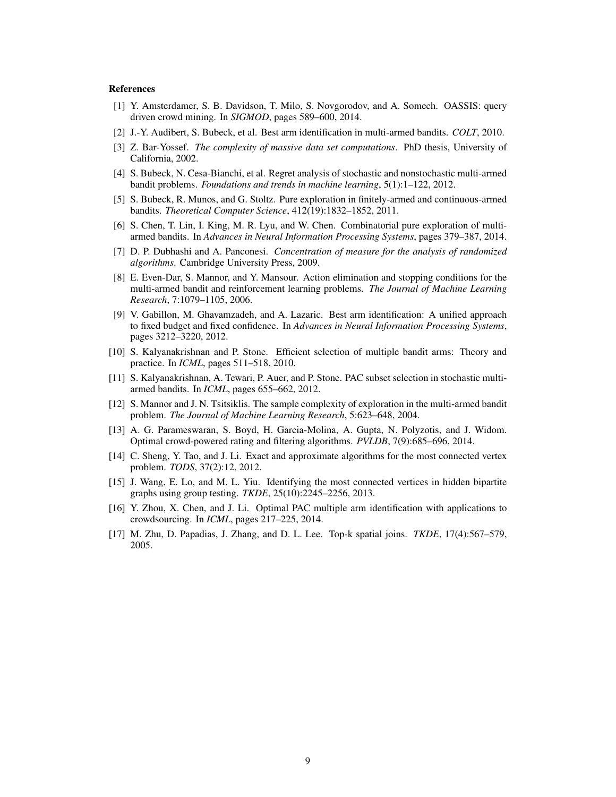#### References

- <span id="page-8-0"></span>[1] Y. Amsterdamer, S. B. Davidson, T. Milo, S. Novgorodov, and A. Somech. OASSIS: query driven crowd mining. In *SIGMOD*, pages 589–600, 2014.
- <span id="page-8-10"></span>[2] J.-Y. Audibert, S. Bubeck, et al. Best arm identification in multi-armed bandits. *COLT*, 2010.
- <span id="page-8-16"></span>[3] Z. Bar-Yossef. *The complexity of massive data set computations*. PhD thesis, University of California, 2002.
- <span id="page-8-11"></span>[4] S. Bubeck, N. Cesa-Bianchi, et al. Regret analysis of stochastic and nonstochastic multi-armed bandit problems. *Foundations and trends in machine learning*, 5(1):1–122, 2012.
- <span id="page-8-13"></span>[5] S. Bubeck, R. Munos, and G. Stoltz. Pure exploration in finitely-armed and continuous-armed bandits. *Theoretical Computer Science*, 412(19):1832–1852, 2011.
- <span id="page-8-5"></span>[6] S. Chen, T. Lin, I. King, M. R. Lyu, and W. Chen. Combinatorial pure exploration of multiarmed bandits. In *Advances in Neural Information Processing Systems*, pages 379–387, 2014.
- <span id="page-8-15"></span>[7] D. P. Dubhashi and A. Panconesi. *Concentration of measure for the analysis of randomized algorithms*. Cambridge University Press, 2009.
- <span id="page-8-6"></span>[8] E. Even-Dar, S. Mannor, and Y. Mansour. Action elimination and stopping conditions for the multi-armed bandit and reinforcement learning problems. *The Journal of Machine Learning Research*, 7:1079–1105, 2006.
- <span id="page-8-14"></span>[9] V. Gabillon, M. Ghavamzadeh, and A. Lazaric. Best arm identification: A unified approach to fixed budget and fixed confidence. In *Advances in Neural Information Processing Systems*, pages 3212–3220, 2012.
- <span id="page-8-9"></span>[10] S. Kalyanakrishnan and P. Stone. Efficient selection of multiple bandit arms: Theory and practice. In *ICML*, pages 511–518, 2010.
- <span id="page-8-7"></span>[11] S. Kalyanakrishnan, A. Tewari, P. Auer, and P. Stone. PAC subset selection in stochastic multiarmed bandits. In *ICML*, pages 655–662, 2012.
- <span id="page-8-12"></span>[12] S. Mannor and J. N. Tsitsiklis. The sample complexity of exploration in the multi-armed bandit problem. *The Journal of Machine Learning Research*, 5:623–648, 2004.
- <span id="page-8-1"></span>[13] A. G. Parameswaran, S. Boyd, H. Garcia-Molina, A. Gupta, N. Polyzotis, and J. Widom. Optimal crowd-powered rating and filtering algorithms. *PVLDB*, 7(9):685–696, 2014.
- <span id="page-8-2"></span>[14] C. Sheng, Y. Tao, and J. Li. Exact and approximate algorithms for the most connected vertex problem. *TODS*, 37(2):12, 2012.
- <span id="page-8-4"></span>[15] J. Wang, E. Lo, and M. L. Yiu. Identifying the most connected vertices in hidden bipartite graphs using group testing. *TKDE*, 25(10):2245–2256, 2013.
- <span id="page-8-8"></span>[16] Y. Zhou, X. Chen, and J. Li. Optimal PAC multiple arm identification with applications to crowdsourcing. In *ICML*, pages 217–225, 2014.
- <span id="page-8-3"></span>[17] M. Zhu, D. Papadias, J. Zhang, and D. L. Lee. Top-k spatial joins. *TKDE*, 17(4):567–579, 2005.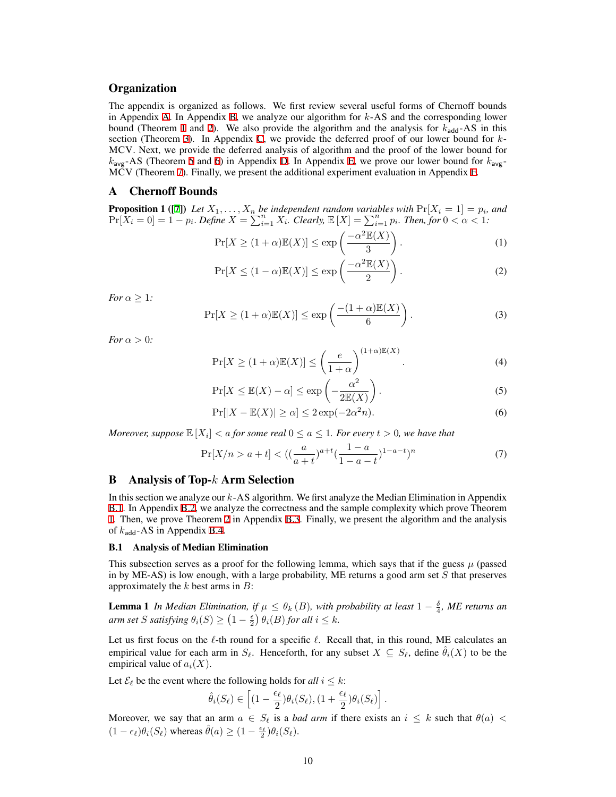## **Organization**

The appendix is organized as follows. We first review several useful forms of Chernoff bounds in Appendix [A.](#page-9-1) In Appendix [B,](#page-9-0) we analyze our algorithm for *k*-AS and the corresponding lower bound (Theorem [1](#page-4-0) and [2\)](#page-4-1). We also provide the algorithm and the analysis for  $k_{\text{add}}$ -AS in this section (Theorem [3\)](#page-5-0). In Appendix [C](#page-17-1), we provide the deferred proof of our lower bound for *k*-MCV. Next, we provide the deferred analysis of algorithm and the proof of the lower bound for  $k_{\text{avg}}$ -AS (Theorem [5](#page-6-0) and [6\)](#page-6-1) in Appendix [D](#page-19-0). In Appendix [E](#page-26-0), we prove our lower bound for  $k_{\text{avg}}$ -MCV (Theorem [7](#page-6-2)). Finally, we present the additional experiment evaluation in Appendix [F](#page-27-0).

#### <span id="page-9-1"></span>A Chernoff Bounds

**Proposition 1** ([[7\]](#page-8-15)) Let  $X_1, \ldots, X_n$  be independent random variables with  $Pr[X_i = 1] = p_i$ , and  $\Pr[X_i = 0] = 1 - p_i$ . Define  $X = \sum_{i=1}^{n} X_i$ . Clearly,  $\mathbb{E}[X] = \sum_{i=1}^{n} p_i$ . Then, for  $0 < \alpha < 1$ .

<span id="page-9-4"></span>
$$
\Pr[X \ge (1+\alpha)\mathbb{E}(X)] \le \exp\left(\frac{-\alpha^2 \mathbb{E}(X)}{3}\right). \tag{1}
$$

<span id="page-9-5"></span>
$$
\Pr[X \le (1 - \alpha)\mathbb{E}(X)] \le \exp\left(\frac{-\alpha^2 \mathbb{E}(X)}{2}\right). \tag{2}
$$

*For*  $\alpha \geq 1$ *:* 

<span id="page-9-6"></span>
$$
\Pr[X \ge (1+\alpha)\mathbb{E}(X)] \le \exp\left(\frac{-(1+\alpha)\mathbb{E}(X)}{6}\right). \tag{3}
$$

*For*  $\alpha > 0$ *:* 

<span id="page-9-11"></span>
$$
\Pr[X \ge (1+\alpha)\mathbb{E}(X)] \le \left(\frac{e}{1+\alpha}\right)^{(1+\alpha)\mathbb{E}(X)}.\tag{4}
$$

<span id="page-9-8"></span>
$$
\Pr[X \le \mathbb{E}(X) - \alpha] \le \exp\left(-\frac{\alpha^2}{2\mathbb{E}(X)}\right). \tag{5}
$$

<span id="page-9-9"></span>
$$
\Pr[|X - \mathbb{E}(X)| \ge \alpha] \le 2\exp(-2\alpha^2 n). \tag{6}
$$

*Moreover, suppose*  $\mathbb{E}\left[X_i\right] < a$  for some real  $0 \le a \le 1$ . For every  $t > 0$ , we have that

<span id="page-9-10"></span>
$$
\Pr[X/n > a+t] < \left( \left( \frac{a}{a+t} \right)^{a+t} \left( \frac{1-a}{1-a-t} \right)^{1-a-t} \right)^n \tag{7}
$$

## <span id="page-9-0"></span>B Analysis of Top-*k* Arm Selection

In this section we analyze our *k*-AS algorithm. We first analyze the Median Elimination in Appendix [B.1](#page-9-2). In Appendix [B.2](#page-12-0), we analyze the correctness and the sample complexity which prove Theorem [1.](#page-4-0) Then, we prove Theorem [2](#page-4-1) in Appendix [B.3](#page-13-0). Finally, we present the algorithm and the analysis of  $k_{\text{add}}$ -AS in Appendix [B.4.](#page-17-0)

#### <span id="page-9-2"></span>B.1 Analysis of Median Elimination

This subsection serves as a proof for the following lemma, which says that if the guess  $\mu$  (passed in by ME-AS) is low enough, with a large probability, ME returns a good arm set *S* that preserves approximately the *k* best arms in *B*:

<span id="page-9-7"></span>**Lemma 1** *In Median Elimination, if*  $\mu \leq \theta_k(B)$ *, with probability at least*  $1 - \frac{\delta}{4}$ *, ME returns an arm set S satisfying*  $\theta_i(S) \geq (1 - \frac{\epsilon}{2}) \theta_i(B)$  *for all*  $i \leq k$ *.* 

Let us first focus on the *ℓ*-th round for a specific *ℓ*. Recall that, in this round, ME calculates an empirical value for each arm in  $S_{\ell}$ . Henceforth, for any subset  $X \subseteq S_{\ell}$ , define  $\theta_i(X)$  to be the empirical value of *ai*(*X*).

Let  $\mathcal{E}_{\ell}$  be the event where the following holds for *all*  $i \leq k$ :

$$
\hat{\theta}_i(S_{\ell}) \in \left[ (1 - \frac{\epsilon_{\ell}}{2}) \theta_i(S_{\ell}), (1 + \frac{\epsilon_{\ell}}{2}) \theta_i(S_{\ell}) \right].
$$

<span id="page-9-3"></span>Moreover, we say that an arm  $a \in S_\ell$  is a *bad arm* if there exists an  $i \leq k$  such that  $\theta(a) <$  $(1 - \epsilon_{\ell})\theta_i(S_{\ell})$  whereas  $\hat{\theta}(a) \geq (1 - \frac{\epsilon_{\ell}}{2})\theta_i(S_{\ell}).$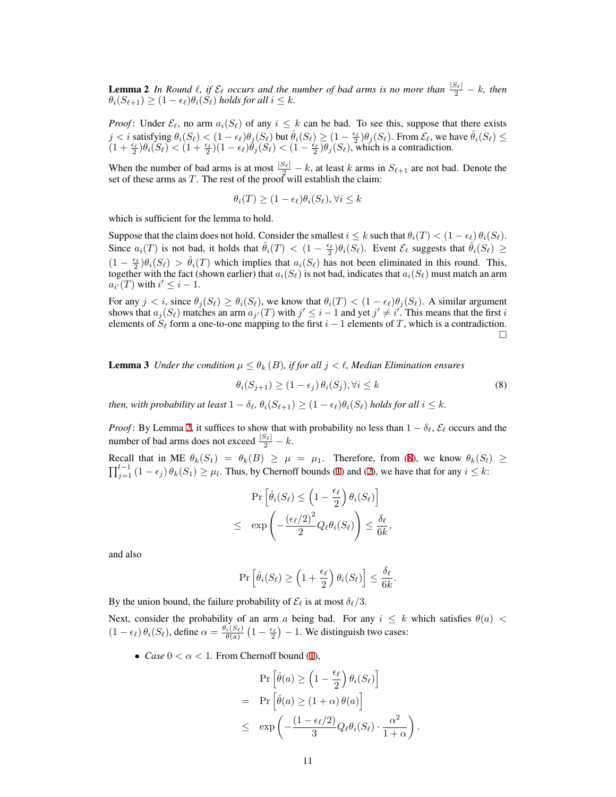**Lemma 2** *In Round*  $\ell$ *, if*  $\mathcal{E}_{\ell}$  *occurs and the number of bad arms is no more than*  $\frac{|\mathcal{S}_{\ell}|}{2} - k$ *, then*  $\theta_i(S_{\ell+1}) \geq (1 - \epsilon_{\ell})\theta_i(S_{\ell})$  *holds for all*  $i \leq k$ *.* 

*Proof*: Under  $\mathcal{E}_{\ell}$ , no arm  $a_i(S_{\ell})$  of any  $i \leq k$  can be bad. To see this, suppose that there exists  $j < i$  satisfying  $\theta_i(S_\ell) < (1 - \epsilon_\ell)\theta_j(S_\ell)$  but  $\hat{\theta}_i(S_\ell) \ge (1 - \frac{\epsilon_\ell}{2})\theta_j(S_\ell)$ . From  $\mathcal{E}_\ell$ , we have  $\hat{\theta}_i(S_\ell) \le$  $(1+\frac{\epsilon_{\ell}}{2})\theta_i(S_{\ell}) < (1+\frac{\epsilon_{\ell}}{2})(1-\epsilon_{\ell})\theta_j(S_{\ell}) < (1-\frac{\epsilon_{\ell}}{2})\theta_j(S_{\ell}),$  which is a contradiction.

When the number of bad arms is at most  $\frac{|S_{\ell}|}{2} - k$ , at least *k* arms in  $S_{\ell+1}$  are not bad. Denote the set of these arms as *T*. The rest of the proof will establish the claim:

$$
\theta_i(T) \ge (1 - \epsilon_\ell) \theta_i(S_\ell), \forall i \le k
$$

which is sufficient for the lemma to hold.

Suppose that the claim does not hold. Consider the smallest  $i \leq k$  such that  $\theta_i(T) < (1 - \epsilon_\ell) \theta_i(S_\ell)$ . Since  $a_i(T)$  is not bad, it holds that  $\hat{\theta}_i(T) < (1 - \frac{\epsilon_{\ell}}{2})\theta_i(S_{\ell})$ . Event  $\mathcal{E}_{\ell}$  suggests that  $\hat{\theta}_i(S_{\ell}) \ge$  $(1 - \frac{\epsilon_{\ell}}{2})\theta_i(S_{\ell}) > \hat{\theta}_i(T)$  which implies that  $a_i(S_{\ell})$  has not been eliminated in this round. This, together with the fact (shown earlier) that  $a_i(S_\ell)$  is not bad, indicates that  $a_i(S_\ell)$  must match an arm  $a_{i'}(T)$  with  $i' \leq i - 1$ .

For any  $j < i$ , since  $\theta_j(S_\ell) \geq \theta_i(S_\ell)$ , we know that  $\theta_i(T) < (1 - \epsilon_\ell) \theta_j(S_\ell)$ . A similar argument shows that  $a_j(S_\ell)$  matches an arm  $a_{j'}(T)$  with  $j' \leq i-1$  and yet  $j' \neq i'$ . This means that the first i elements of *S<sup>ℓ</sup>* form a one-to-one mapping to the first *i −* 1 elements of *T*, which is a contradiction. □

<span id="page-10-1"></span>**Lemma 3** *Under the condition*  $\mu \leq \theta_k$  (*B*)*, if for all*  $j < \ell$ *, Median Elimination ensures* 

<span id="page-10-0"></span>
$$
\theta_i(S_{j+1}) \ge (1 - \epsilon_j) \theta_i(S_j), \forall i \le k \tag{8}
$$

then, with probability at least  $1 - \delta_{\ell}, \theta_i(S_{\ell+1}) \geq (1 - \epsilon_{\ell})\theta_i(S_{\ell})$  holds for all  $i \leq k$ .

*Proof*: By Lemma [2](#page-9-3), it suffices to show that with probability no less than  $1 - \delta_\ell$ ,  $\mathcal{E}_\ell$  occurs and the number of bad arms does not exceed  $\frac{|S_{\ell}|}{2} - k$ .

Recall that in ME  $\theta_k(S_1) = \theta_k(B) \geq \mu = \mu_1$ . Therefore, from [\(8](#page-10-0)), we know  $\theta_k(S_l) \geq$  $\prod_{j=1}^{l-1} (1 - \epsilon_j) \theta_k(S_1) \ge \mu_l$  $\prod_{j=1}^{l-1} (1 - \epsilon_j) \theta_k(S_1) \ge \mu_l$  $\prod_{j=1}^{l-1} (1 - \epsilon_j) \theta_k(S_1) \ge \mu_l$ . Thus, by Chernoff bounds (1) and [\(2](#page-9-5)), we have that for any *i* ≤ *k*:

$$
\Pr\left[\hat{\theta}_i(S_\ell) \le \left(1 - \frac{\epsilon_\ell}{2}\right) \theta_i(S_\ell)\right] \\
\le \exp\left(-\frac{(\epsilon_\ell/2)^2}{2} Q_\ell \theta_i(S_\ell)\right) \le \frac{\delta_\ell}{6k},
$$

and also

$$
\Pr\left[\hat{\theta}_i(S_\ell) \ge \left(1 + \frac{\epsilon_\ell}{2}\right) \theta_i(S_\ell)\right] \le \frac{\delta_\ell}{6k}.
$$

By the union bound, the failure probability of  $\mathcal{E}_{\ell}$  is at most  $\delta_{\ell}/3$ .

Next, consider the probability of an arm *a* being bad. For any  $i \leq k$  which satisfies  $\theta(a)$  $(1 - \epsilon_{\ell}) \theta_i(S_{\ell})$ , define  $\alpha = \frac{\theta_i(S_{\ell})}{\theta(a)} (1 - \frac{\epsilon_{\ell}}{2}) - 1$ . We distinguish two cases:

• *Case*  $0 < \alpha < 1$ . From Chernoff bound ([1\)](#page-9-4),

$$
\Pr\left[\hat{\theta}(a) \ge \left(1 - \frac{\epsilon_{\ell}}{2}\right) \theta_i(S_{\ell})\right]
$$
\n
$$
= \Pr\left[\hat{\theta}(a) \ge (1 + \alpha) \theta(a)\right]
$$
\n
$$
\le \exp\left(-\frac{(1 - \epsilon_{\ell}/2)}{3} Q_{\ell} \theta_i(S_{\ell}) \cdot \frac{\alpha^2}{1 + \alpha}\right)
$$

*.*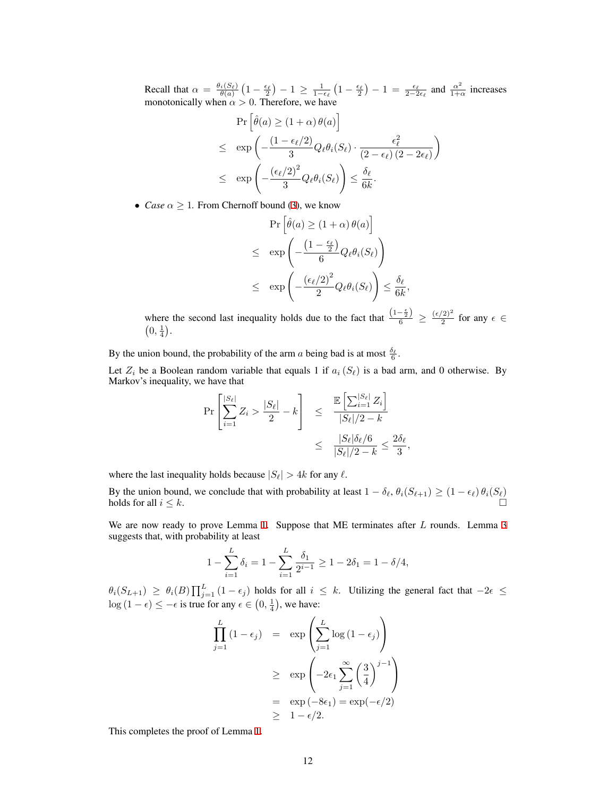Recall that  $\alpha = \frac{\theta_i(S_\ell)}{\theta(a)} \left(1 - \frac{\epsilon_\ell}{2}\right) - 1 \ge \frac{1}{1 - \epsilon_\ell} \left(1 - \frac{\epsilon_\ell}{2}\right) - 1 = \frac{\epsilon_\ell}{2 - 2\epsilon_\ell}$  and  $\frac{\alpha^2}{1 + \epsilon_\ell}$  $\frac{\alpha^2}{1+\alpha}$  increases monotonically when  $\alpha > 0$ . Therefore, we have

$$
\Pr\left[\hat{\theta}(a) \ge (1+\alpha)\,\theta(a)\right] \\
\le \quad \exp\left(-\frac{(1-\epsilon_{\ell}/2)}{3}Q_{\ell}\theta_{i}(S_{\ell})\cdot\frac{\epsilon_{\ell}^{2}}{(2-\epsilon_{\ell})(2-2\epsilon_{\ell})}\right) \\
\le \quad \exp\left(-\frac{(\epsilon_{\ell}/2)^{2}}{3}Q_{\ell}\theta_{i}(S_{\ell})\right) \le \frac{\delta_{\ell}}{6k}.
$$

• *Case*  $\alpha \geq 1$ *.* From Chernoff bound ([3\)](#page-9-6), we know

$$
\Pr\left[\hat{\theta}(a) \ge (1+\alpha)\theta(a)\right] \\
\le \exp\left(-\frac{\left(1-\frac{\epsilon_{\ell}}{2}\right)}{6}Q_{\ell}\theta_{i}(S_{\ell})\right) \\
\le \exp\left(-\frac{\left(\epsilon_{\ell}/2\right)^{2}}{2}Q_{\ell}\theta_{i}(S_{\ell})\right) \le \frac{\delta_{\ell}}{6k},
$$

where the second last inequality holds due to the fact that  $\frac{(1-\frac{\epsilon}{2})}{6} \geq \frac{(\epsilon/2)^2}{2}$  $\frac{2}{2}$  for any  $\epsilon \in$  $(0, \frac{1}{4}).$ 

*,*

By the union bound, the probability of the arm *a* being bad is at most  $\frac{\delta_{\ell}}{6}$ .

Let  $Z_i$  be a Boolean random variable that equals 1 if  $a_i(S_\ell)$  is a bad arm, and 0 otherwise. By Markov's inequality, we have that

$$
\Pr\left[\sum_{i=1}^{|S_{\ell}|} Z_i > \frac{|S_{\ell}|}{2} - k\right] \leq \frac{\mathbb{E}\left[\sum_{i=1}^{|S_{\ell}|} Z_i\right]}{|S_{\ell}|/2 - k}
$$

$$
\leq \frac{|S_{\ell}| \delta_{\ell} / 6}{|S_{\ell}|/2 - k} \leq \frac{2\delta_{\ell}}{3}
$$

where the last inequality holds because  $|S_\ell| > 4k$  for any  $\ell$ .

By the union bound, we conclude that with probability at least  $1 - \delta_\ell$ ,  $\theta_i(S_{\ell+1}) \geq (1 - \epsilon_\ell) \theta_i(S_\ell)$ holds for all  $i \leq k$ .

We are now ready to prove Lemma [1.](#page-9-7) Suppose that ME terminates after *L* rounds. Lemma [3](#page-10-1) suggests that, with probability at least

$$
1 - \sum_{i=1}^{L} \delta_i = 1 - \sum_{i=1}^{L} \frac{\delta_1}{2^{i-1}} \ge 1 - 2\delta_1 = 1 - \delta/4,
$$

 $\theta_i(S_{L+1}) \ge \theta_i(B) \prod_{j=1}^L (1 - \epsilon_j)$  holds for all  $i \le k$ . Utilizing the general fact that  $-2\epsilon \le$ log  $(1 - \epsilon)$  ≤  $-\epsilon$  is true for any  $\epsilon \in (0, \frac{1}{4})$ , we have:

$$
\prod_{j=1}^{L} (1 - \epsilon_j) = \exp\left(\sum_{j=1}^{L} \log(1 - \epsilon_j)\right)
$$
\n
$$
\geq \exp\left(-2\epsilon_1 \sum_{j=1}^{\infty} \left(\frac{3}{4}\right)^{j-1}\right)
$$
\n
$$
= \exp(-8\epsilon_1) = \exp(-\epsilon/2)
$$
\n
$$
\geq 1 - \epsilon/2.
$$

This completes the proof of Lemma [1.](#page-9-7)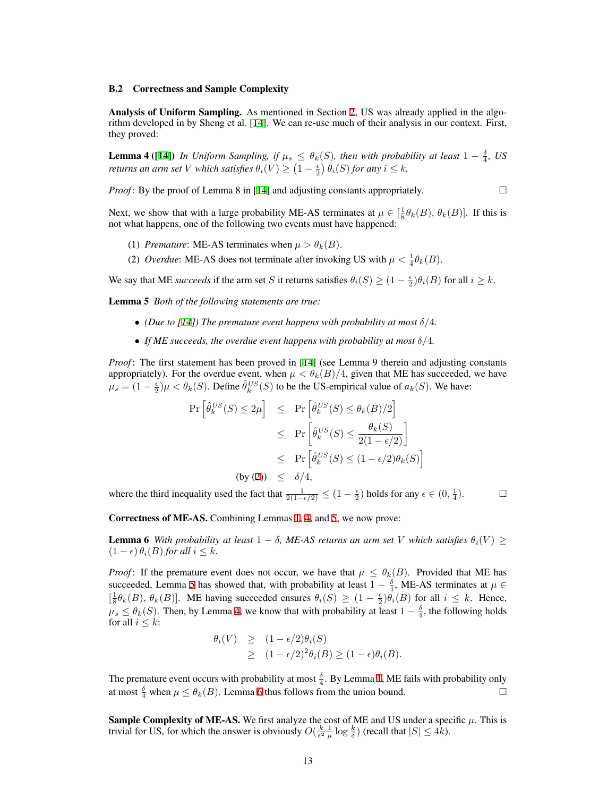#### <span id="page-12-0"></span>B.2 Correctness and Sample Complexity

Analysis of Uniform Sampling. As mentioned in Section [2,](#page-4-2) US was already applied in the algorithm developed in by Sheng et al. [[14\]](#page-8-2). We can re-use much of their analysis in our context. First, they proved:

<span id="page-12-1"></span>**Lemma 4** ([\[14](#page-8-2)]) *In Uniform Sampling, if*  $\mu_s \leq \theta_k(S)$ *, then with probability at least*  $1 - \frac{\delta}{4}$ *, US returns an arm set V which satisfies*  $\theta_i(V) \geq (1 - \frac{\epsilon}{2}) \theta_i(S)$  *for any*  $i \leq k$ *.* 

*Proof*: By the proof of Lemma 8 in [\[14](#page-8-2)] and adjusting constants appropriately.  $\Box$ 

Next, we show that with a large probability ME-AS terminates at  $\mu \in [\frac{1}{8}\theta_k(B), \theta_k(B)]$ . If this is not what happens, one of the following two events must have happened:

- (1) *Premature*: ME-AS terminates when  $\mu > \theta_k(B)$ .
- (2) *Overdue*: ME-AS does not terminate after invoking US with  $\mu < \frac{1}{4}\theta_k(B)$ .

We say that ME *succeeds* if the arm set *S* it returns satisfies  $\theta_i(S) \geq (1 - \frac{\epsilon}{2})\theta_i(B)$  for all  $i \geq k$ .

<span id="page-12-2"></span>Lemma 5 *Both of the following statements are true:*

- *(Due to [\[14](#page-8-2)]) The premature event happens with probability at most*  $\delta/4$ *.*
- *• If ME succeeds, the overdue event happens with probability at most δ/*4*.*

*Proof*: The first statement has been proved in [\[14](#page-8-2)] (see Lemma 9 therein and adjusting constants appropriately). For the overdue event, when  $\mu < \theta_k(B)/4$ , given that ME has succeeded, we have  $\mu_s = (1 - \frac{\epsilon}{2})\mu < \theta_k(S)$ . Define  $\hat{\theta}_k^{US}(S)$  to be the US-empirical value of  $a_k(S)$ . We have:

$$
\Pr\left[\hat{\theta}_{k}^{US}(S) \le 2\mu\right] \le \Pr\left[\hat{\theta}_{k}^{US}(S) \le \theta_{k}(B)/2\right]
$$
  
\n
$$
\le \Pr\left[\hat{\theta}_{k}^{US}(S) \le \frac{\theta_{k}(S)}{2(1-\epsilon/2)}\right]
$$
  
\n
$$
\le \Pr\left[\hat{\theta}_{k}^{US}(S) \le (1-\epsilon/2)\theta_{k}(S)\right]
$$
  
\n(by (2)) 
$$
\le \delta/4,
$$

where the third inequality used the fact that  $\frac{1}{2(1-\epsilon/2)} \leq (1-\frac{\epsilon}{2})$  holds for any  $\epsilon \in (0, \frac{1}{4})$  $\Box$ 

<span id="page-12-3"></span>Correctness of ME-AS. Combining Lemmas [1](#page-9-7), [4](#page-12-1), and [5](#page-12-2), we now prove:

**Lemma 6** *With probability at least*  $1 - \delta$ *, ME-AS returns an arm set V which satisfies*  $\theta_i(V) \geq$  $(1 − ε)$   $\theta_i(B)$  for all  $i ≤ k$ .

*Proof*: If the premature event does not occur, we have that  $\mu \leq \theta_k(B)$ . Provided that ME has succeeded, Lemma [5](#page-12-2) has showed that, with probability at least  $1 - \frac{\delta}{4}$ , ME-AS terminates at  $\mu \in$  $\left[\frac{1}{8}\theta_k(B), \theta_k(B)\right]$ . ME having succeeded ensures  $\theta_i(S) \geq (1 - \frac{\epsilon}{2})\theta_i(B)$  for all  $i \leq k$ . Hence,  $\mu_s \leq \theta_k(S)$ . Then, by Lemma [4](#page-12-1), we know that with probability at least  $1 - \frac{\delta}{4}$ , the following holds for all  $i \leq k$ :

$$
\theta_i(V) \geq (1 - \epsilon/2)\theta_i(S)
$$
  
\n
$$
\geq (1 - \epsilon/2)^2 \theta_i(B) \geq (1 - \epsilon)\theta_i(B).
$$

The premature event occurs with probability at most  $\frac{\delta}{4}$ . By Lemma [1,](#page-9-7) ME fails with probability only at most  $\frac{\delta}{4}$  when  $\mu \leq \theta_k(B)$ . Lemma [6](#page-12-3) thus follows from the union bound.

**Sample Complexity of ME-AS.** We first analyze the cost of ME and US under a specific  $\mu$ . This is trivial for US, for which the answer is obviously  $O(\frac{k}{\epsilon^2} \frac{1}{\mu} \log \frac{k}{\delta})$  (recall that  $|S| \leq 4k$ ).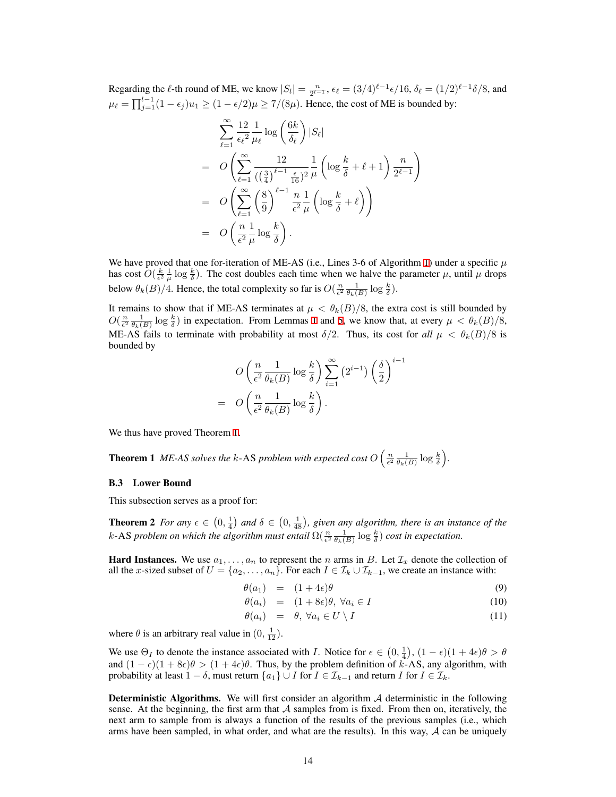Regarding the  $\ell$ -th round of ME, we know  $|S_l| = \frac{n}{2^{l-1}}$ ,  $\epsilon_{\ell} = (3/4)^{\ell-1} \epsilon/16$ ,  $\delta_{\ell} = (1/2)^{\ell-1} \delta/8$ , and  $\mu_{\ell} = \prod_{j=1}^{l-1} (1 - \epsilon_j) u_1 \ge (1 - \epsilon/2) \mu \ge 7/(8\mu)$ . Hence, the cost of ME is bounded by:

$$
\sum_{\ell=1}^{\infty} \frac{12}{\epsilon_{\ell}^{2}} \frac{1}{\mu_{\ell}} \log\left(\frac{6k}{\delta_{\ell}}\right) |S_{\ell}|
$$
\n
$$
= O\left(\sum_{\ell=1}^{\infty} \frac{12}{\left(\left(\frac{3}{4}\right)^{\ell-1} \frac{\epsilon}{16}\right)^{2}} \frac{1}{\mu} \left(\log \frac{k}{\delta} + \ell + 1\right) \frac{n}{2^{\ell-1}}\right)
$$
\n
$$
= O\left(\sum_{\ell=1}^{\infty} \left(\frac{8}{9}\right)^{\ell-1} \frac{n}{\epsilon^{2}} \frac{1}{\mu} \left(\log \frac{k}{\delta} + \ell\right)\right)
$$
\n
$$
= O\left(\frac{n}{\epsilon^{2}} \frac{1}{\mu} \log \frac{k}{\delta}\right).
$$

We have proved that one for-iteration of ME-AS (i.e., Lines 3-6 of Algorithm [1](#page-5-2)) under a specific *µ* has cost  $\hat{O}(\frac{k}{\epsilon^2} \frac{1}{\mu} \log \frac{k}{\delta})$ . The cost doubles each time when we halve the parameter  $\mu$ , until  $\mu$  drops below  $\theta_k(B)/4$ . Hence, the total complexity so far is  $O(\frac{n}{\epsilon^2} \frac{1}{\theta_k(B)} \log \frac{k}{\delta})$ .

It remains to show that if ME-AS terminates at  $\mu < \theta_k(B)/8$ , the extra cost is still bounded by  $O(\frac{n}{\epsilon^2} \frac{1}{\theta_k(B)} \log \frac{k}{\delta})$  $O(\frac{n}{\epsilon^2} \frac{1}{\theta_k(B)} \log \frac{k}{\delta})$  $O(\frac{n}{\epsilon^2} \frac{1}{\theta_k(B)} \log \frac{k}{\delta})$  in expectation. From Lemmas 1 and [5](#page-12-2), we know that, at every  $\mu < \theta_k(B)/8$ , ME-AS fails to terminate with probability at most  $\delta/2$ . Thus, its cost for all  $\mu < \theta_k(B)/8$  is bounded by

$$
O\left(\frac{n}{\epsilon^2} \frac{1}{\theta_k(B)} \log \frac{k}{\delta}\right) \sum_{i=1}^{\infty} (2^{i-1}) \left(\frac{\delta}{2}\right)^{i-1}
$$

$$
O\left(\frac{n}{\epsilon^2} \frac{1}{\theta_k(B)} \log \frac{k}{\delta}\right).
$$

We thus have proved Theorem [1.](#page-4-0)

= *O*

**Theorem 1** *ME-AS solves the k-AS problem with expected cost*  $O\left(\frac{n}{\epsilon^2} \frac{1}{\theta_k(B)} \log \frac{k}{\delta}\right)$ .

#### <span id="page-13-0"></span>B.3 Lower Bound

This subsection serves as a proof for:

**Theorem 2** *For any*  $\epsilon \in (0, \frac{1}{4})$  *and*  $\delta \in (0, \frac{1}{48})$ , given any algorithm, there is an instance of the *k*-AS *problem on which the algorithm must entail*  $\Omega(\frac{n}{\epsilon^2} \frac{1}{\theta_k(B)} \log \frac{k}{\delta})$  *cost in expectation.* 

**Hard Instances.** We use  $a_1, \ldots, a_n$  to represent the *n* arms in *B*. Let  $\mathcal{I}_x$  denote the collection of all the *x*-sized subset of  $U = \{a_2, \ldots, a_n\}$ . For each  $I \in \mathcal{I}_k \cup \mathcal{I}_{k-1}$ , we create an instance with:

<span id="page-13-1"></span>
$$
\theta(a_1) = (1+4\epsilon)\theta \tag{9}
$$

$$
\theta(a_i) = (1 + 8\epsilon)\theta, \,\forall a_i \in I \tag{10}
$$

$$
\theta(a_i) = \theta, \forall a_i \in U \setminus I \tag{11}
$$

where  $\theta$  is an arbitrary real value in  $(0, \frac{1}{12})$ .

We use  $\Theta_I$  to denote the instance associated with *I*. Notice for  $\epsilon \in (0, \frac{1}{4})$ ,  $(1 - \epsilon)(1 + 4\epsilon)\theta > \theta$ and  $(1 - \epsilon)(1 + 8\epsilon)\theta > (1 + 4\epsilon)\theta$ . Thus, by the problem definition of *k*-AS, any algorithm, with probability at least  $1 - \delta$ , must return  $\{a_1\} \cup I$  for  $I \in \mathcal{I}_{k-1}$  and return *I* for  $I \in \mathcal{I}_k$ .

Deterministic Algorithms. We will first consider an algorithm *A* deterministic in the following sense. At the beginning, the first arm that  $A$  samples from is fixed. From then on, iteratively, the next arm to sample from is always a function of the results of the previous samples (i.e., which arms have been sampled, in what order, and what are the results). In this way, *A* can be uniquely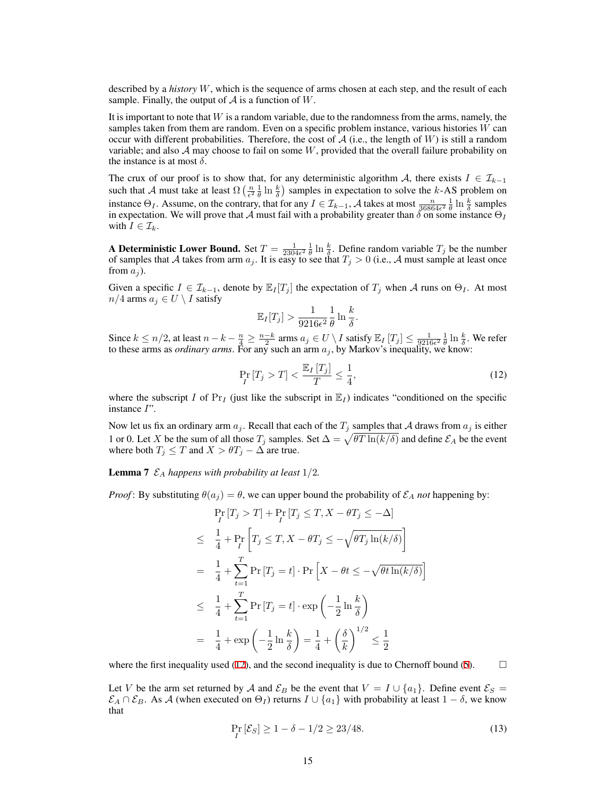described by a *history W*, which is the sequence of arms chosen at each step, and the result of each sample. Finally, the output of  $A$  is a function of  $W$ .

It is important to note that *W* is a random variable, due to the randomness from the arms, namely, the samples taken from them are random. Even on a specific problem instance, various histories *W* can occur with different probabilities. Therefore, the cost of  $A$  (i.e., the length of *W*) is still a random variable; and also  $A$  may choose to fail on some  $W$ , provided that the overall failure probability on the instance is at most  $\delta$ .

The crux of our proof is to show that, for any deterministic algorithm *A*, there exists  $I \in \mathcal{I}_{k-1}$ such that *A* must take at least  $\Omega\left(\frac{n}{\epsilon^2} \frac{1}{\theta} \ln \frac{k}{\delta}\right)$  samples in expectation to solve the *k*-AS problem on instance  $\Theta_I$ . Assume, on the contrary, that for any  $I \in \mathcal{I}_{k-1}$ , *A* takes at most  $\frac{n}{36864\epsilon^2} \frac{1}{\theta} \ln \frac{k}{\delta}$  samples in expectation. We will prove that *A* must fail with a probability greater than  $\delta$  on some instance  $\Theta$ *I* with  $I \in \mathcal{I}_k$ .

A Deterministic Lower Bound. Set  $T = \frac{1}{2304\epsilon^2} \frac{1}{\theta} \ln \frac{k}{\delta}$ . Define random variable  $T_j$  be the number of samples that *A* takes from arm  $a_j$ . It is easy to see that  $T_j > 0$  (i.e., *A* must sample at least once from  $a_i$ ).

Given a specific  $I \in \mathcal{I}_{k-1}$ , denote by  $\mathbb{E}_I[T_j]$  the expectation of  $T_j$  when *A* runs on  $\Theta_I$ . At most *n*/4 arms  $a_j$  ∈ *U*  $\setminus$  *I* satisfy

$$
\mathbb{E}_I[T_j] > \frac{1}{9216\epsilon^2} \frac{1}{\theta} \ln \frac{k}{\delta}.
$$

Since  $k \le n/2$ , at least  $n - k - \frac{n}{4} \ge \frac{n-k}{2}$  arms  $a_j \in U \setminus I$  satisfy  $\mathbb{E}_I[T_j] \le \frac{1}{9216\epsilon^2} \frac{1}{\theta} \ln \frac{k}{\delta}$ . We refer to these arms as *ordinary arms*. For any such an arm *a<sup>j</sup>* , by Markov's inequality, we know:

<span id="page-14-0"></span>
$$
\Pr_{I}[T_j > T] < \frac{\mathbb{E}_I[T_j]}{T} \le \frac{1}{4},\tag{12}
$$

where the subscript *I* of  $Pr_I$  (just like the subscript in  $E_I$ ) indicates "conditioned on the specific instance *I*".

Now let us fix an ordinary arm  $a_j$ . Recall that each of the  $T_j$  samples that *A* draws from  $a_j$  is either 1 or 0. Let *X* be the sum of all those  $T_j$  samples. Set  $\Delta = \sqrt{\theta T \ln(k/\delta)}$  and define  $\mathcal{E}_A$  be the event where both  $T_j \leq T$  and  $X > \theta T_j - \Delta$  are true.

**Lemma 7**  $\mathcal{E}_A$  *happens with probability at least*  $1/2$ *.* 

*Proof*: By substituting  $\theta(a_j) = \theta$ , we can upper bound the probability of  $\mathcal{E}_A$  *not* happening by:

$$
\Pr_{I} [T_j > T] + \Pr_{I} [T_j \le T, X - \theta T_j \le -\Delta]
$$
\n
$$
\le \frac{1}{4} + \Pr_{I} \left[ T_j \le T, X - \theta T_j \le -\sqrt{\theta T_j \ln(k/\delta)} \right]
$$
\n
$$
= \frac{1}{4} + \sum_{t=1}^{T} \Pr_{I} [T_j = t] \cdot \Pr \left[ X - \theta t \le -\sqrt{\theta t \ln(k/\delta)} \right]
$$
\n
$$
\le \frac{1}{4} + \sum_{t=1}^{T} \Pr_{I} [T_j = t] \cdot \exp \left( -\frac{1}{2} \ln \frac{k}{\delta} \right)
$$
\n
$$
= \frac{1}{4} + \exp \left( -\frac{1}{2} \ln \frac{k}{\delta} \right) = \frac{1}{4} + \left( \frac{\delta}{k} \right)^{1/2} \le \frac{1}{2}
$$

where the first inequality used ([12\)](#page-14-0), and the second inequality is due to Chernoff bound [\(5](#page-9-8)).  $\Box$ 

Let *V* be the arm set returned by *A* and  $\mathcal{E}_B$  be the event that  $V = I \cup \{a_1\}$ . Define event  $\mathcal{E}_S =$  $\mathcal{E}_A \cap \mathcal{E}_B$ . As *A* (when executed on  $\Theta_I$ ) returns  $I \cup \{a_1\}$  with probability at least  $1 - \delta$ , we know that

<span id="page-14-1"></span>
$$
\Pr_{I} \left[ \mathcal{E}_{S} \right] \ge 1 - \delta - 1/2 \ge 23/48. \tag{13}
$$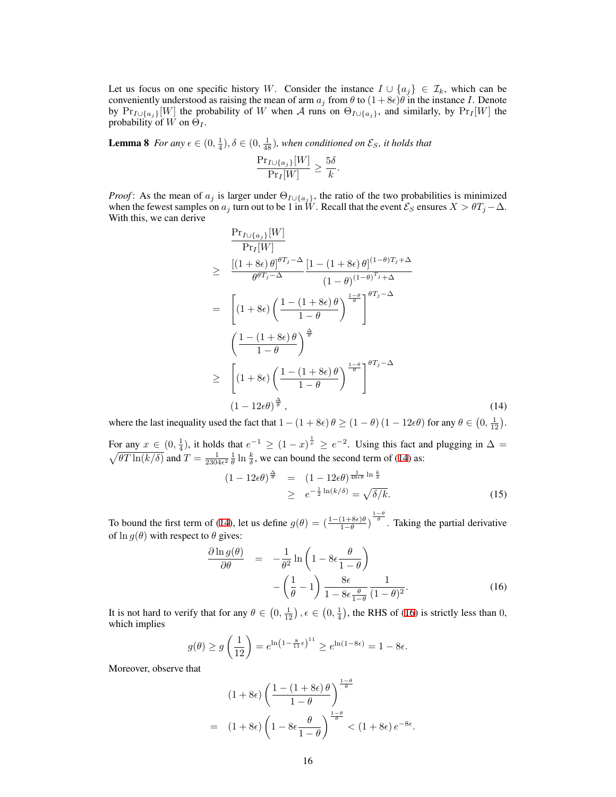Let us focus on one specific history *W*. Consider the instance  $I \cup \{a_j\} \in \mathcal{I}_k$ , which can be conveniently understood as raising the mean of arm  $a_j$  from  $\theta$  to  $(1 + 8\epsilon)\theta$  in the instance *I*. Denote by  $Pr_{I\cup \{a_j\}}[W]$  the probability of *W* when *A* runs on  $\Theta_{I\cup \{a_j\}}$ , and similarly, by  $Pr_I[W]$  the probability of  $W$  on  $\Theta_I$ .

<span id="page-15-3"></span>**Lemma 8** *For any*  $\epsilon \in (0, \frac{1}{4}), \delta \in (0, \frac{1}{48})$ , when conditioned on  $\mathcal{E}_S$ , it holds that

$$
\frac{\Pr_{I \cup \{a_j\}}[W]}{\Pr_I[W]} \ge \frac{5\delta}{k}.
$$

*Proof*: As the mean of  $a_j$  is larger under  $\Theta_{I \cup \{a_j\}}$ , the ratio of the two probabilities is minimized when the fewest samples on  $a_j$  turn out to be 1 in  $W$ . Recall that the event  $\mathcal{E}_S$  ensures  $X > \theta T_j - \Delta$ . With this, we can derive

<span id="page-15-0"></span>
$$
\frac{\Pr_{I\cup\{a_j\}}[W]}{\Pr_I[W]} \geq \frac{\left[(1+8\epsilon)\theta\right]^{\theta T_j - \Delta} \left[1 - (1+8\epsilon)\theta\right]^{(1-\theta)T_j + \Delta}}{\theta^{\theta T_j - \Delta}} \newline = \left[ (1+8\epsilon) \left(\frac{1 - (1+8\epsilon)\theta}{1-\theta}\right)^{\frac{1-\theta}{\theta}} \right]^{\theta T_j - \Delta} \newline \left(\frac{1 - (1+8\epsilon)\theta}{1-\theta}\right)^{\frac{\Delta}{\theta}} \newline \geq \left[ (1+8\epsilon) \left(\frac{1 - (1+8\epsilon)\theta}{1-\theta}\right)^{\frac{1-\theta}{\theta}} \right]^{\theta T_j - \Delta} \newline \geq \left[ (1+8\epsilon) \left(\frac{1 - (1+8\epsilon)\theta}{1-\theta}\right)^{\frac{1-\theta}{\theta}} \right]^{0T_j - \Delta} \newline (1-12\epsilon\theta)^{\frac{\Delta}{\theta}}, \tag{14}
$$

where the last inequality used the fact that  $1 - (1 + 8\epsilon) \theta \ge (1 - \theta) (1 - 12\epsilon\theta)$  for any  $\theta \in (0, \frac{1}{12})$ .

For any  $x \in (0, \frac{1}{4})$ , it holds that  $e^{-1} \ge (1-x)^{\frac{1}{x}} \ge e^{-2}$ . Using this fact and plugging in  $\Delta =$  $\sqrt{\theta T \ln(k/\delta)}$  and  $T = \frac{1}{2304\epsilon^2} \frac{1}{\theta} \ln \frac{k}{\delta}$ , we can bound the second term of ([14\)](#page-15-0) as:

<span id="page-15-2"></span>
$$
(1 - 12\epsilon\theta)^{\frac{\Delta}{\theta}} = (1 - 12\epsilon\theta)^{\frac{1}{48\epsilon\theta} \ln \frac{k}{\delta}}
$$
  
 
$$
\geq e^{-\frac{1}{2}\ln(k/\delta)} = \sqrt{\delta/k}.
$$
 (15)

To bound the first term of [\(14](#page-15-0)), let us define  $g(\theta) = \left(\frac{1-(1+8\epsilon)\theta}{1-\theta}\right)^{\frac{1-\theta}{\theta}}$ . Taking the partial derivative of  $\ln g(\theta)$  with respect to  $\theta$  gives:

<span id="page-15-1"></span>
$$
\frac{\partial \ln g(\theta)}{\partial \theta} = -\frac{1}{\theta^2} \ln \left( 1 - 8\epsilon \frac{\theta}{1 - \theta} \right) - \left( \frac{1}{\theta} - 1 \right) \frac{8\epsilon}{1 - 8\epsilon \frac{\theta}{1 - \theta}} \frac{1}{(1 - \theta)^2}.
$$
(16)

It is not hard to verify that for any  $\theta \in (0, \frac{1}{12})$ ,  $\epsilon \in (0, \frac{1}{4})$ , the RHS of [\(16](#page-15-1)) is strictly less than 0, which implies

$$
g(\theta) \ge g\left(\frac{1}{12}\right) = e^{\ln\left(1 - \frac{8}{11}\epsilon\right)^{11}} \ge e^{\ln(1 - 8\epsilon)} = 1 - 8\epsilon.
$$

Moreover, observe that

$$
(1+8\epsilon)\left(\frac{1-(1+8\epsilon)\theta}{1-\theta}\right)^{\frac{1-\theta}{\theta}}
$$
  
= 
$$
(1+8\epsilon)\left(1-8\epsilon\frac{\theta}{1-\theta}\right)^{\frac{1-\theta}{\theta}} < (1+8\epsilon)e^{-8\epsilon}.
$$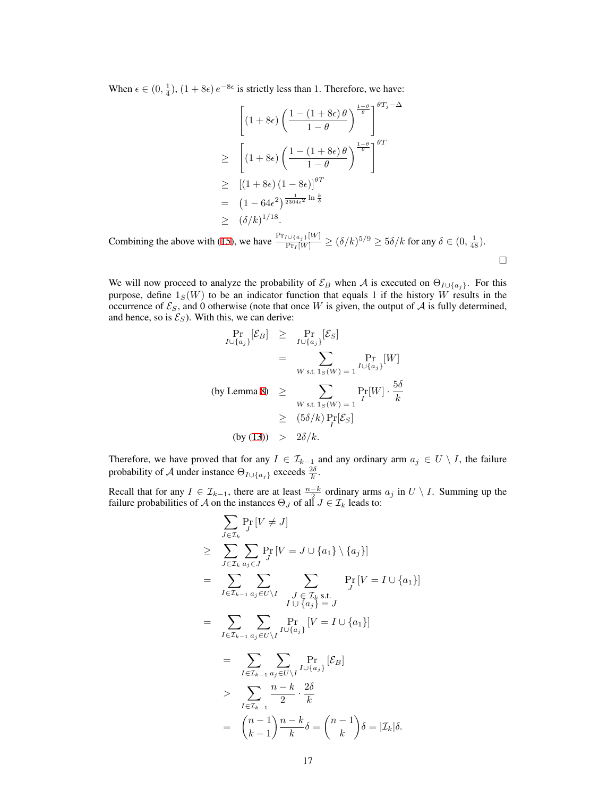When  $\epsilon \in (0, \frac{1}{4})$ ,  $(1 + 8\epsilon) e^{-8\epsilon}$  is strictly less than 1. Therefore, we have:

$$
\left[ (1+8\epsilon) \left( \frac{1-(1+8\epsilon)\theta}{1-\theta} \right)^{\frac{1-\theta}{\theta}} \right]^{\theta T_j - \Delta}
$$
  
\n
$$
\geq \left[ (1+8\epsilon) \left( \frac{1-(1+8\epsilon)\theta}{1-\theta} \right)^{\frac{1-\theta}{\theta}} \right]^{\theta T}
$$
  
\n
$$
\geq \left[ (1+8\epsilon) (1-8\epsilon) \right]^{\theta T}
$$
  
\n
$$
= (1-64\epsilon^2)^{\frac{1}{2304\epsilon^2} \ln \frac{k}{\delta}}
$$
  
\n
$$
\geq (\delta/k)^{1/18}.
$$

□

Combining the above with ([15](#page-15-2)), we have  $\frac{\Pr_{I \cup \{a_j\}}[W]}{\Pr_I[W]}\ge (\delta/k)^{5/9} \ge 5\delta/k$  for any  $\delta \in (0, \frac{1}{48})$ .

We will now proceed to analyze the probability of  $\mathcal{E}_B$  when *A* is executed on  $\Theta_{I \cup \{a_j\}}$ . For this purpose, define  $1_S(W)$  to be an indicator function that equals 1 if the history *W* results in the occurrence of  $\mathcal{E}_S$ , and 0 otherwise (note that once *W* is given, the output of *A* is fully determined, and hence, so is  $\mathcal{E}_S$ ). With this, we can derive:

$$
\Pr_{I \cup \{a_j\}}[\mathcal{E}_B] \ge \Pr_{I \cup \{a_j\}}[\mathcal{E}_S]
$$
\n
$$
= \sum_{W \text{ s.t. } 1_S(W) = 1} \Pr_{I \cup \{a_j\}}[W]
$$
\n(by Lemma 8)

\n
$$
\ge \sum_{W \text{ s.t. } 1_S(W) = 1} \Pr_{I}[W] \cdot \frac{5\delta}{k}
$$
\n
$$
\ge (5\delta/k) \Pr_{I}[\mathcal{E}_S]
$$
\n(by (13))

\n
$$
> 2\delta/k.
$$

Therefore, we have proved that for any  $I \in \mathcal{I}_{k-1}$  and any ordinary arm  $a_j \in U \setminus I$ , the failure probability of *A* under instance  $\Theta_{I \cup \{a_j\}}$  exceeds  $\frac{2\delta}{k}$ .

Recall that for any  $I \in \mathcal{I}_{k-1}$ , there are at least  $\frac{n-k}{2}$  ordinary arms  $a_j$  in  $U \setminus I$ . Summing up the failure probabilities of *A* on the instances  $\Theta_J$  of all  $J \in \mathcal{I}_k$  leads to:

$$
\sum_{J \in \mathcal{I}_k} \Pr_{J} [V \neq J]
$$
\n
$$
\geq \sum_{J \in \mathcal{I}_k} \sum_{a_j \in J} \Pr_{J} [V = J \cup \{a_1\} \setminus \{a_j\}]
$$
\n
$$
= \sum_{I \in \mathcal{I}_{k-1}} \sum_{a_j \in U \setminus I} \sum_{J \in \mathcal{I}_k} \Pr_{S \in \mathcal{I}_l} [V = I \cup \{a_1\}]
$$
\n
$$
= \sum_{I \in \mathcal{I}_{k-1}} \sum_{a_j \in U \setminus I} \Pr_{I \cup \{a_j\}} [V = I \cup \{a_1\}]
$$
\n
$$
= \sum_{I \in \mathcal{I}_{k-1}} \sum_{a_j \in U \setminus I} \Pr_{I \cup \{a_j\}} [E_B]
$$
\n
$$
> \sum_{I \in \mathcal{I}_{k-1}} \frac{n-k}{2} \cdot \frac{2\delta}{k}
$$
\n
$$
= \binom{n-1}{k-1} \frac{n-k}{k} \delta = \binom{n-1}{k} \delta = | \mathcal{I}_k | \delta.
$$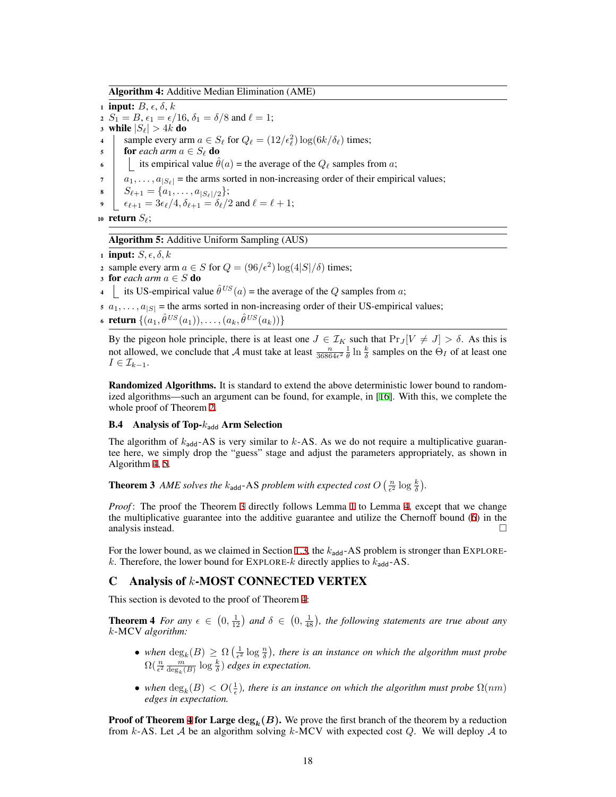Algorithm 4: Additive Median Elimination (AME)

<span id="page-17-2"></span>1 **input:**  $B, \epsilon, \delta, k$ 2  $S_1 = B$ ,  $\epsilon_1 = \epsilon/16$ ,  $\delta_1 = \delta/8$  and  $\ell = 1$ ; 3 while  $|S_{\ell}| > 4k$  do 4  $\int$  sample every arm  $a \in S_\ell$  for  $Q_\ell = (12/\epsilon_\ell^2) \log(6k/\delta_\ell)$  times; 5 **for** *each arm*  $a \in S_\ell$  **do** 6 its empirical value  $\hat{\theta}(a)$  = the average of the  $Q_{\ell}$  samples from *a*;  $a_1, \ldots, a_{|S_\ell|}$  = the arms sorted in non-increasing order of their empirical values;  $S_{\ell+1} = \{a_1, \ldots, a_{|S_{\ell}|/2}\};$  $\epsilon_{\ell+1} = 3\epsilon_{\ell}/4$ ,  $\delta_{\ell+1} = \delta_{\ell}/2$  and  $\ell = \ell + 1$ ;

<sup>10</sup> return *Sℓ*;

#### Algorithm 5: Additive Uniform Sampling (AUS)

<span id="page-17-3"></span>1 **input:**  $S, \epsilon, \delta, k$ 

2 sample every arm  $a \in S$  for  $Q = (96/\epsilon^2) \log(4|S|/\delta)$  times;

3 for *each arm*  $a \in S$  do

4 its US-empirical value  $\hat{\theta}^{US}(a)$  = the average of the *Q* samples from *a*;

- $a_1, \ldots, a_{|S|}$  = the arms sorted in non-increasing order of their US-empirical values;
- $\{ (a_1, \hat{\theta}^{US}(a_1)), \ldots, (a_k, \hat{\theta}^{US}(a_k)) \}$

By the pigeon hole principle, there is at least one  $J \in \mathcal{I}_K$  such that  $\Pr_J[V \neq J] > \delta$ . As this is not allowed, we conclude that *A* must take at least  $\frac{n}{36864\epsilon^2} \frac{1}{\theta} \ln \frac{k}{\delta}$  samples on the  $\Theta_I$  of at least one  $I \in \mathcal{I}_{k-1}$ .

Randomized Algorithms. It is standard to extend the above deterministic lower bound to randomized algorithms—such an argument can be found, for example, in [\[16\]](#page-8-8). With this, we complete the whole proof of Theorem [2](#page-4-1).

## <span id="page-17-0"></span>B.4 Analysis of Top- $k_{\text{add}}$  Arm Selection

The algorithm of  $k_{\text{add}}$ -AS is very similar to  $k$ -AS. As we do not require a multiplicative guarantee here, we simply drop the "guess" stage and adjust the parameters appropriately, as shown in Algorithm [4,](#page-17-2) [5.](#page-17-3)

**Theorem 3** AME solves the  $k_{\text{add}}$ -AS problem with expected cost  $O\left(\frac{n}{\epsilon^2}\log\frac{k}{\delta}\right)$ .

*Proof*: The proof the Theorem [3](#page-5-0) directly follows Lemma [1](#page-9-7) to Lemma [4,](#page-12-1) except that we change the multiplicative guarantee into the additive guarantee and utilize the Chernoff bound ([6\)](#page-9-9) in the analysis instead.  $\Box$ 

For the lower bound, as we claimed in Section [1.3,](#page-3-0) the  $k_{\text{add}}$ -AS problem is stronger than EXPLORE*k*. Therefore, the lower bound for EXPLORE-*k* directly applies to  $k_{\text{add}}$ -AS.

# <span id="page-17-1"></span>C Analysis of *k*-MOST CONNECTED VERTEX

This section is devoted to the proof of Theorem [4:](#page-5-1)

**Theorem 4** *For any*  $\epsilon \in (0, \frac{1}{12})$  *and*  $\delta \in (0, \frac{1}{48})$ *, the following statements are true about any k*-MCV *algorithm:*

- *when*  $\deg_k(B) \geq \Omega\left(\frac{1}{\epsilon^2} \log \frac{n}{\delta}\right)$ , there is an instance on which the algorithm must probe  $\Omega(\frac{n}{\epsilon^2}\frac{m}{\deg_k(B)}\log\frac{k}{\delta})$  edges in expectation.
- *when*  $\deg_k(B) < O(\frac{1}{\epsilon})$ , there is an instance on which the algorithm must probe  $\Omega(nm)$ *edges in expectation.*

**Proof of Theorem [4](#page-5-1) for Large**  $\deg_k(B)$ **.** We prove the first branch of the theorem by a reduction from *k*-AS. Let *A* be an algorithm solving *k*-MCV with expected cost *Q*. We will deploy *A* to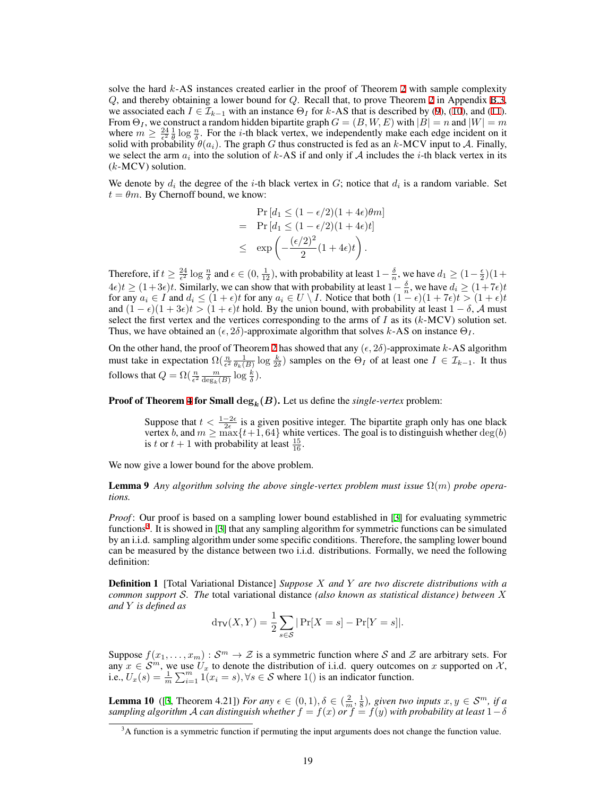solve the hard *k*-AS instances created earlier in the proof of Theorem [2](#page-4-1) with sample complexity *Q*, and thereby obtaining a lower bound for *Q*. Recall that, to prove Theorem [2](#page-4-1) in Appendix [B.3,](#page-13-0) we associated each  $I \in \mathcal{I}_{k-1}$  with an instance  $\Theta_I$  for  $k$ -AS that is described by ([9\)](#page-13-1), ([10\)](#page-13-1), and [\(11](#page-13-1)). From  $\Theta_I$ , we construct a random hidden bipartite graph  $G = (B, W, E)$  with  $|B| = n$  and  $|W| = m$ where  $m \geq \frac{24}{\epsilon^2} \frac{1}{\theta} \log \frac{n}{\delta}$ . For the *i*-th black vertex, we independently make each edge incident on it solid with probability  $\theta(a_i)$ . The graph *G* thus constructed is fed as an *k*-MCV input to *A*. Finally, we select the arm  $a_i$  into the solution of  $k$ -AS if and only if  $A$  includes the *i*-th black vertex in its (*k*-MCV) solution.

We denote by  $d_i$  the degree of the *i*-th black vertex in  $G$ ; notice that  $d_i$  is a random variable. Set  $t = \theta m$ . By Chernoff bound, we know:

$$
\Pr\left[d_1 \le (1 - \epsilon/2)(1 + 4\epsilon)\theta m\right]
$$
\n
$$
= \Pr\left[d_1 \le (1 - \epsilon/2)(1 + 4\epsilon)t\right]
$$
\n
$$
\le \exp\left(-\frac{(\epsilon/2)^2}{2}(1 + 4\epsilon)t\right).
$$

Therefore, if  $t \ge \frac{24}{\epsilon^2} \log \frac{n}{\delta}$  and  $\epsilon \in (0, \frac{1}{12})$ , with probability at least  $1-\frac{\delta}{n}$ , we have  $d_1 \ge (1-\frac{\epsilon}{2})(1+\frac{\epsilon}{2})$  $4\epsilon$ )*t*  $\geq (1+3\epsilon)t$ . Similarly, we can show that with probability at least  $1-\frac{\delta}{n}$ , we have  $d_i \geq (1+7\epsilon)t$ for any  $a_i \in I$  and  $d_i \le (1+\epsilon)t$  for any  $a_i \in U \setminus I$ . Notice that both  $(1-\epsilon)(1+7\epsilon)t > (1+\epsilon)t$ and  $(1 - \epsilon)(1 + 3\epsilon)t > (1 + \epsilon)t$  hold. By the union bound, with probability at least  $1 - \delta$ , *A* must select the first vertex and the vertices corresponding to the arms of  $I$  as its  $(k-MCV)$  solution set. Thus, we have obtained an  $(\epsilon, 2\delta)$ -approximate algorithm that solves *k*-AS on instance  $\Theta_I$ .

On the other hand, the proof of Theorem [2](#page-4-1) has showed that any  $(\epsilon, 2\delta)$ -approximate  $k$ -AS algorithm must take in expectation  $\Omega(\frac{n}{\epsilon^2} \frac{1}{\theta_k(B)} \log \frac{k}{2\delta})$  samples on the  $\Theta_I$  of at least one  $I \in \mathcal{I}_{k-1}$ . It thus follows that  $Q = \Omega\left(\frac{n}{\epsilon^2} \frac{m}{\deg_k(B)} \log \frac{k}{\delta}\right)$ .

**Proof of Theorem [4](#page-5-1) for Small**  $\deg_k(B)$ . Let us define the *single-vertex* problem:

<span id="page-18-0"></span>Suppose that  $t < \frac{1-2\epsilon}{2\epsilon}$  is a given positive integer. The bipartite graph only has one black vertex *b*, and  $m \ge \max\{t+1, 64\}$  white vertices. The goal is to distinguish whether  $\deg(b)$ is *t* or  $t + 1$  with probability at least  $\frac{15}{16}$ .

We now give a lower bound for the above problem.

**Lemma 9** Any algorithm solving the above single-vertex problem must issue  $\Omega(m)$  probe opera*tions.*

*Proof*: Our proof is based on a sampling lower bound established in [[3\]](#page-8-16) for evaluating symmetric functions<sup>3</sup>. It is showed in [\[3](#page-8-16)] that any sampling algorithm for symmetric functions can be simulated by an i.i.d. sampling algorithm under some specific conditions. Therefore, the sampling lower bound can be measured by the distance between two i.i.d. distributions. Formally, we need the following definition:

Definition 1 [Total Variational Distance] *Suppose X and Y are two discrete distributions with a common support S. The* total variational distance *(also known as statistical distance) between X and Y is defined as*

$$
d_{\text{TV}}(X, Y) = \frac{1}{2} \sum_{s \in \mathcal{S}} | \Pr[X = s] - \Pr[Y = s] |.
$$

Suppose  $f(x_1, \ldots, x_m): S^m \to \mathcal{Z}$  is a symmetric function where S and  $\mathcal Z$  are arbitrary sets. For any  $x \in \mathcal{S}^m$ , we use  $U_x$  to denote the distribution of i.i.d. query outcomes on x supported on  $\mathcal{X}$ , i.e.,  $U_x(s) = \frac{1}{m} \sum_{i=1}^{m} \mathbf{1}(x_i = s)$ ,  $\forall s \in S$  where 1() is an indicator function.

**Lemma 10** ([[3,](#page-8-16) Theorem 4.21]) *For any*  $\epsilon \in (0,1), \delta \in (\frac{2}{m},\frac{1}{8})$ , given two inputs  $x, y \in S^m$ , if a  $s$ ampling algorithm  ${\cal A}$   $c$ an distinguish whether  $f=f(x)$  or  $f=f(y)$  with probability at least  $1-\delta$ 

<sup>&</sup>lt;sup>3</sup>A function is a symmetric function if permuting the input arguments does not change the function value.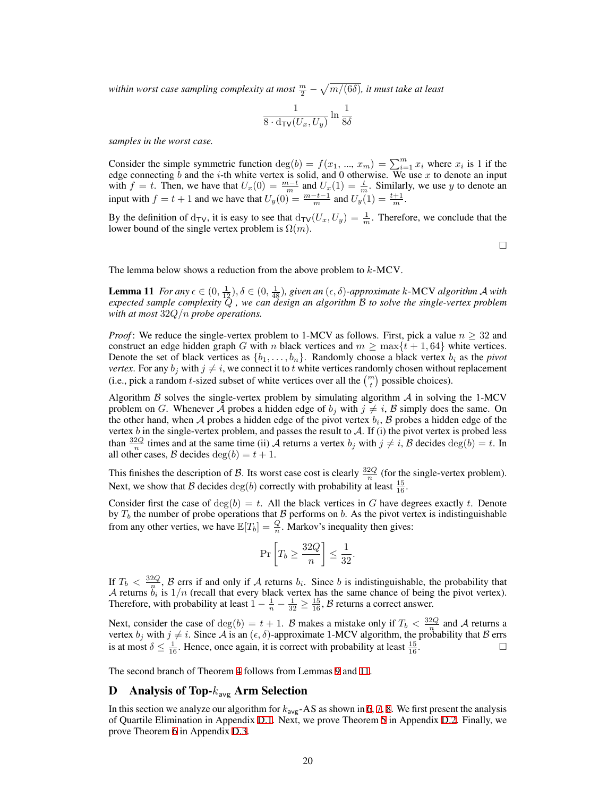within worst case sampling complexity at most  $\frac{m}{2}-\sqrt{m/(6\delta)}$ , it must take at least

$$
\frac{1}{8 \cdot d_{\text{TV}}(U_x, U_y)} \ln \frac{1}{8\delta}
$$

*samples in the worst case.*

Consider the simple symmetric function  $\deg(b) = f(x_1, ..., x_m) = \sum_{i=1}^m x_i$  where  $x_i$  is 1 if the edge connecting *b* and the *i*-th white vertex is solid, and 0 otherwise. We use *x* to denote an input with  $f = t$ . Then, we have that  $U_x(0) = \frac{m-t}{m}$  and  $U_x(1) = \frac{t}{m}$ . Similarly, we use *y* to denote an input with  $f = t + 1$  and we have that  $U_y(0) = \frac{m-t-1}{m}$  and  $U_y(1) = \frac{t+1}{m}$ .

By the definition of  $d_{TV}$ , it is easy to see that  $d_{TV}(U_x, U_y) = \frac{1}{m}$ . Therefore, we conclude that the lower bound of the single vertex problem is  $\Omega(m)$ .

<span id="page-19-1"></span>□

The lemma below shows a reduction from the above problem to *k*-MCV.

Lemma 11 *For any*  $\epsilon \in (0, \frac{1}{12}), \delta \in (0, \frac{1}{48})$ , given an  $(\epsilon, \delta)$ -approximate k-MCV algorithm *A* with *expected sample complexity Q , we can design an algorithm B to solve the single-vertex problem with at most* 32*Q/n probe operations.*

*Proof*: We reduce the single-vertex problem to 1-MCV as follows. First, pick a value  $n \geq 32$  and construct an edge hidden graph *G* with *n* black vertices and  $m \ge \max\{t + 1, 64\}$  white vertices. Denote the set of black vertices as  $\{b_1, \ldots, b_n\}$ . Randomly choose a black vertex  $b_i$  as the *pivot vertex*. For any  $b_j$  with  $j \neq i$ , we connect it to *t* white vertices randomly chosen without replacement (i.e., pick a random *t*-sized subset of white vertices over all the  $\binom{m}{t}$  possible choices).

Algorithm  $\beta$  solves the single-vertex problem by simulating algorithm  $\beta$  in solving the 1-MCV problem on *G*. Whenever *A* probes a hidden edge of  $b_j$  with  $j \neq i$ , *B* simply does the same. On the other hand, when *A* probes a hidden edge of the pivot vertex *b<sup>i</sup>* , *B* probes a hidden edge of the vertex  $b$  in the single-vertex problem, and passes the result to  $A$ . If (i) the pivot vertex is probed less than  $\frac{32Q}{n}$  times and at the same time (ii) *A* returns a vertex *b<sub>j</sub>* with  $j \neq i$ , *B* decides  $\deg(b) = t$ . In all other cases, *B* decides  $deg(b) = t + 1$ .

This finishes the description of *B*. Its worst case cost is clearly  $\frac{32Q}{n}$  (for the single-vertex problem). Next, we show that *B* decides  $deg(b)$  correctly with probability at least  $\frac{15}{16}$ .

Consider first the case of  $deg(b) = t$ . All the black vertices in *G* have degrees exactly *t*. Denote by  $T_b$  the number of probe operations that  $\beta$  performs on  $b$ . As the pivot vertex is indistinguishable from any other verties, we have  $\mathbb{E}[T_b] = \frac{Q}{n}$ . Markov's inequality then gives:

$$
\Pr\left[T_b \ge \frac{32Q}{n}\right] \le \frac{1}{32}.
$$

If  $T_b < \frac{32Q}{n}$ ,  $\beta$  errs if and only if *A* returns  $b_i$ . Since *b* is indistinguishable, the probability that *A* returns  $\ddot{b}_i$  is  $1/n$  (recall that every black vertex has the same chance of being the pivot vertex). Therefore, with probability at least  $1 - \frac{1}{n} - \frac{1}{32} \ge \frac{15}{16}$ , *B* returns a correct answer.

Next, consider the case of deg(*b*) =  $t + 1$ . *B* makes a mistake only if  $T_b < \frac{32Q}{n}$  and *A* returns a vertex  $b_j$  with  $j \neq i$ . Since A is an  $(\epsilon, \delta)$ -approximate 1-MCV algorithm, the probability that B errs is at most  $\delta \leq \frac{1}{16}$ . Hence, once again, it is correct with probability at least  $\frac{15}{16}$ .

<span id="page-19-0"></span>The second branch of Theorem [4](#page-5-1) follows from Lemmas [9](#page-18-0) and [11.](#page-19-1)

## D Analysis of Top-*k*avg Arm Selection

In this section we analyze our algorithm for *k*avg-AS as shown in [6,](#page-20-0) [7](#page-20-1), [8.](#page-20-2) We first present the analysis of Quartile Elimination in Appendix [D.1.](#page-20-3) Next, we prove Theorem [5](#page-6-0) in Appendix [D.2.](#page-23-0) Finally, we prove Theorem [6](#page-6-1) in Appendix [D.3](#page-25-0).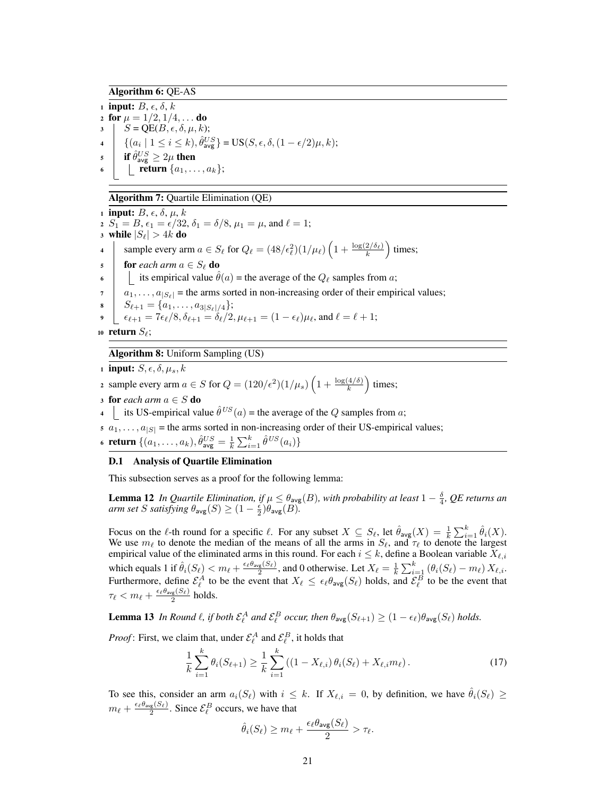# Algorithm 6: QE-AS

<span id="page-20-0"></span>1 **input:**  $B, \epsilon, \delta, k$ 2 for  $\mu = 1/2, 1/4, \ldots$  do  $S = \text{QE}(B, \epsilon, \delta, \mu, k);$  $\{ (a_i \mid 1 \leq i \leq k), \hat{\theta}_{\text{avg}}^{US} \} = \text{US}(S, \epsilon, \delta, (1 - \epsilon/2)\mu, k);$  $\textbf{f} \textbf{s} \textbf{f} \textbf{f} \textbf{\textit{\^{U}}}_{\textbf{a}\textbf{v}\textbf{g}}^U \geq 2\mu \textbf{ then}$ **find the return**  $\{a_1, \ldots, a_k\};$ 

# Algorithm 7: Quartile Elimination (QE)

<span id="page-20-1"></span>1 **input:**  $B$ ,  $\epsilon$ ,  $\delta$ ,  $\mu$ ,  $k$ 2  $S_1 = B$ ,  $\epsilon_1 = \epsilon/32$ ,  $\delta_1 = \delta/8$ ,  $\mu_1 = \mu$ , and  $\ell = 1$ ; 3 while  $|S_{\ell}| > 4k$  do 4 sample every arm  $a \in S_\ell$  for  $Q_\ell = (48/\epsilon_\ell^2)(1/\mu_\ell) \left(1 + \frac{\log(2/\delta_\ell)}{k}\right)$  times; 5 **for** *each arm*  $a \in S_\ell$  **do** 6 its empirical value  $\hat{\theta}(a)$  = the average of the  $Q_{\ell}$  samples from *a*;  $7 \mid a_1, \ldots, a_{|S_\ell|}$  = the arms sorted in non-increasing order of their empirical values;  $S_{\ell+1} = \{a_1, \ldots, a_{3|S_{\ell}|/4}\};$  $\epsilon_{\ell+1} = 7\epsilon_{\ell}/8, \delta_{\ell+1} = \delta_{\ell}/2, \mu_{\ell+1} = (1 - \epsilon_{\ell})\mu_{\ell}, \text{ and } \ell = \ell+1;$ <sup>10</sup> return *Sℓ*;

## Algorithm 8: Uniform Sampling (US)

<span id="page-20-2"></span>1 **input:**  $S, \epsilon, \delta, \mu_s, k$ 

2 sample every arm *a* ∈ *S* for  $Q = (120/\epsilon^2)(1/\mu_s) \left(1 + \frac{\log(4/\delta)}{k}\right)$  times;

3 for *each arm*  $a \in S$  do

4 its US-empirical value  $\hat{\theta}^{US}(a)$  = the average of the *Q* samples from *a*;

 $s \ a_1, \ldots, a_{|S|}$  = the arms sorted in non-increasing order of their US-empirical values;

6 **return**  $\{(a_1, \ldots, a_k), \hat{\theta}_{\text{avg}}^U = \frac{1}{k} \sum_{i=1}^k \hat{\theta}^{US}(a_i)\}$ 

## <span id="page-20-3"></span>D.1 Analysis of Quartile Elimination

This subsection serves as a proof for the following lemma:

<span id="page-20-6"></span>**Lemma 12** *In Quartile Elimination, if*  $\mu \leq \theta_{avg}(B)$ , with probability at least  $1 - \frac{\delta}{4}$ , *QE returns an arm set S satisfying*  $\theta_{\text{avg}}(S) \geq (1 - \frac{\epsilon}{2})\theta_{\text{avg}}(B)$ .

Focus on the  $\ell$ -th round for a specific  $\ell$ . For any subset  $X \subseteq S_{\ell}$ , let  $\hat{\theta}_{\text{avg}}(X) = \frac{1}{k} \sum_{i=1}^{k} \hat{\theta}_{i}(X)$ . We use  $m_\ell$  to denote the median of the means of all the arms in  $S_\ell$ , and  $\tau_\ell$  to denote the largest empirical value of the eliminated arms in this round. For each  $i \leq k$ , define a Boolean variable  $X_{\ell,i}$ which equals 1 if  $\hat{\theta}_i(S_\ell) < m_\ell + \frac{\epsilon_\ell \theta_{avg}(S_\ell)}{2}$ , and 0 otherwise. Let  $X_\ell = \frac{1}{k} \sum_{i=1}^k (\theta_i(S_\ell) - m_\ell) X_{\ell,i}$ . Furthermore, define  $\mathcal{E}_{\ell}^{A}$  to be the event that  $X_{\ell} \leq \epsilon_{\ell} \theta_{avg}(S_{\ell})$  holds, and  $\mathcal{E}_{\ell}^{B}$  to be the event that *τι < mι* +  $\frac{\epsilon_{\ell} \theta_{\text{avg}}(S_{\ell})}{2}$  holds.

<span id="page-20-5"></span>**Lemma 13** In Round  $\ell$ , if both  $\mathcal{E}_{\ell}^{A}$  and  $\mathcal{E}_{\ell}^{B}$  occur, then  $\theta_{\text{avg}}(S_{\ell+1}) \geq (1 - \epsilon_{\ell})\theta_{\text{avg}}(S_{\ell})$  holds.

*Proof*: First, we claim that, under  $\mathcal{E}_{\ell}^{A}$  and  $\mathcal{E}_{\ell}^{B}$ , it holds that

<span id="page-20-4"></span>
$$
\frac{1}{k} \sum_{i=1}^{k} \theta_i (S_{\ell+1}) \ge \frac{1}{k} \sum_{i=1}^{k} \left( (1 - X_{\ell,i}) \theta_i (S_{\ell}) + X_{\ell,i} m_{\ell} \right). \tag{17}
$$

To see this, consider an arm  $a_i(S_\ell)$  with  $i \leq k$ . If  $X_{\ell,i} = 0$ , by definition, we have  $\hat{\theta}_i(S_\ell) \geq$  $m_{\ell} + \frac{\epsilon_{\ell} \theta_{\text{avg}}(S_{\ell})}{2}$ . Since  $\mathcal{E}_{\ell}^{B}$  occurs, we have that

$$
\hat{\theta}_i(S_{\ell}) \ge m_{\ell} + \frac{\epsilon_{\ell} \theta_{\text{avg}}(S_{\ell})}{2} > \tau_{\ell}.
$$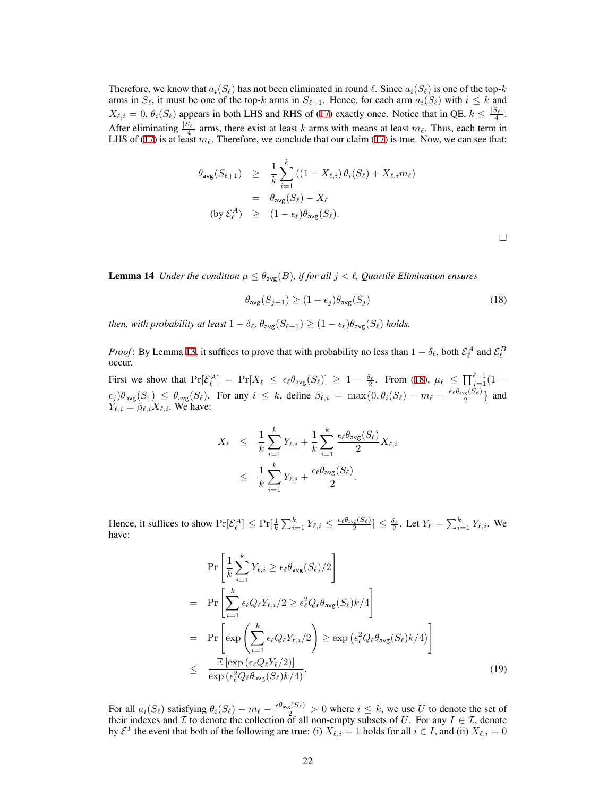Therefore, we know that  $a_i(S_\ell)$  has not been eliminated in round  $\ell$ . Since  $a_i(S_\ell)$  is one of the top-*k* arms in  $S_\ell$ , it must be one of the top-*k* arms in  $S_{\ell+1}$ . Hence, for each arm  $a_i(S_\ell)$  with  $i \leq k$  and  $X_{\ell,i} = 0$ ,  $\theta_i(S_{\ell})$  appears in both LHS and RHS of ([17\)](#page-20-4) exactly once. Notice that in QE,  $k \leq \frac{|S_{\ell}|}{4}$ . After eliminating  $\frac{|S_{\ell}|}{4}$  arms, there exist at least *k* arms with means at least  $m_{\ell}$ . Thus, each term in LHS of [\(17\)](#page-20-4) is at least  $m_\ell$ . Therefore, we conclude that our claim [\(17](#page-20-4)) is true. Now, we can see that:

$$
\theta_{\text{avg}}(S_{\ell+1}) \geq \frac{1}{k} \sum_{i=1}^{k} ((1 - X_{\ell,i}) \theta_i(S_{\ell}) + X_{\ell,i} m_{\ell})
$$
  
=  $\theta_{\text{avg}}(S_{\ell}) - X_{\ell}$   
(by  $\mathcal{E}_{\ell}^{A} \geq (1 - \epsilon_{\ell}) \theta_{\text{avg}}(S_{\ell}).$ 

□

**Lemma 14** *Under the condition*  $\mu \leq \theta_{\text{avg}}(B)$ *, if for all*  $j < \ell$ *, Quartile Elimination ensures* 

<span id="page-21-0"></span>
$$
\theta_{\text{avg}}(S_{j+1}) \ge (1 - \epsilon_j)\theta_{\text{avg}}(S_j)
$$
\n(18)

*then, with probability at least*  $1 - \delta_{\ell}$ ,  $\theta_{\text{avg}}(S_{\ell+1}) \geq (1 - \epsilon_{\ell})\theta_{\text{avg}}(S_{\ell})$  *holds.* 

*Proof*: By Lemma [13,](#page-20-5) it suffices to prove that with probability no less than  $1 - \delta_\ell$ , both  $\mathcal{E}^A_\ell$  and  $\mathcal{E}^B_\ell$ occur.

First we show that  $Pr[\mathcal{E}_{\ell}^A] = Pr[X_{\ell} \leq \epsilon_{\ell} \theta_{avg}(S_{\ell})] \geq 1 - \frac{\delta_{\ell}}{2}$ . From ([18\)](#page-21-0),  $\mu_{\ell} \leq \prod_{j=1}^{\ell-1} (1 \epsilon_j$ ) $\theta_{\text{avg}}(S_1) \leq \theta_{\text{avg}}(S_\ell)$ . For any  $i \leq k$ , define  $\beta_{\ell,i} = \max\{0, \theta_i(S_\ell) - m_\ell - \frac{\epsilon_\ell \theta_{\text{avg}}(S_\ell)}{2}\}\$  and  $\hat{Y}_{\ell,i} = \hat{\beta}_{\ell,i} X_{\ell,i}$ . We have:

$$
X_{\ell} \leq \frac{1}{k} \sum_{i=1}^{k} Y_{\ell,i} + \frac{1}{k} \sum_{i=1}^{k} \frac{\epsilon_{\ell} \theta_{\text{avg}}(S_{\ell})}{2} X_{\ell,i}
$$

$$
\leq \frac{1}{k} \sum_{i=1}^{k} Y_{\ell,i} + \frac{\epsilon_{\ell} \theta_{\text{avg}}(S_{\ell})}{2}.
$$

Hence, it suffices to show  $\Pr[\mathcal{E}_{\ell}^A] \le \Pr[\frac{1}{k} \sum_{i=1}^k Y_{\ell,i} \le \frac{\epsilon_{\ell} \theta_{avg}(S_{\ell})}{2}] \le \frac{\delta_{\ell}}{2}$ . Let  $Y_{\ell} = \sum_{i=1}^k Y_{\ell,i}$ . We have:

$$
\Pr\left[\frac{1}{k}\sum_{i=1}^{k}Y_{\ell,i} \geq \epsilon_{\ell}\theta_{\text{avg}}(S_{\ell})/2\right]
$$
\n
$$
= \Pr\left[\sum_{i=1}^{k} \epsilon_{\ell}Q_{\ell}Y_{\ell,i}/2 \geq \epsilon_{\ell}^{2}Q_{\ell}\theta_{\text{avg}}(S_{\ell})k/4\right]
$$
\n
$$
= \Pr\left[\exp\left(\sum_{i=1}^{k} \epsilon_{\ell}Q_{\ell}Y_{\ell,i}/2\right) \geq \exp\left(\epsilon_{\ell}^{2}Q_{\ell}\theta_{\text{avg}}(S_{\ell})k/4\right)\right]
$$
\n
$$
\leq \frac{\mathbb{E}\left[\exp\left(\epsilon_{\ell}Q_{\ell}Y_{\ell}/2\right)\right]}{\exp\left(\epsilon_{\ell}^{2}Q_{\ell}\theta_{\text{avg}}(S_{\ell})k/4\right)}.
$$
\n(19)

For all  $a_i(S_\ell)$  satisfying  $\theta_i(S_\ell) - m_\ell - \frac{\epsilon \theta_{avg}(S_\ell)}{2} > 0$  where  $i \leq k$ , we use U to denote the set of their indexes and  $\mathcal I$  to denote the collection of all non-empty subsets of  $U$ . For any  $I \in \mathcal I$ , denote by  $\mathcal{E}^I$  the event that both of the following are true: (i)  $X_{\ell,i} = 1$  holds for all  $i \in I$ , and (ii)  $X_{\ell,i} = 0$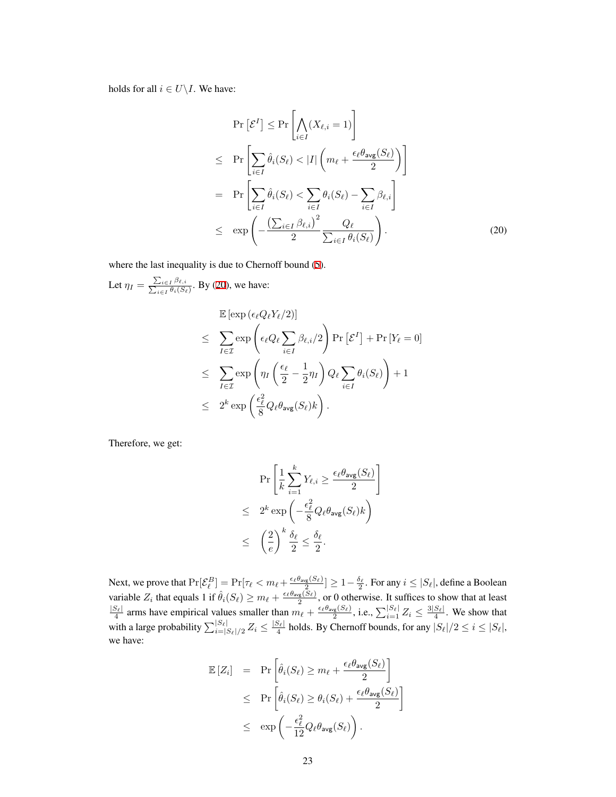holds for all  $i \in U \setminus I$ . We have:

<span id="page-22-0"></span>
$$
\Pr\left[\mathcal{E}^{I}\right] \leq \Pr\left[\bigwedge_{i\in I} (X_{\ell,i} = 1)\right]
$$
\n
$$
\leq \Pr\left[\sum_{i\in I} \hat{\theta}_{i}(S_{\ell}) < |I| \left(m_{\ell} + \frac{\epsilon_{\ell} \theta_{\text{avg}}(S_{\ell})}{2}\right)\right]
$$
\n
$$
= \Pr\left[\sum_{i\in I} \hat{\theta}_{i}(S_{\ell}) < \sum_{i\in I} \theta_{i}(S_{\ell}) - \sum_{i\in I} \beta_{\ell,i}\right]
$$
\n
$$
\leq \exp\left(-\frac{\left(\sum_{i\in I} \beta_{\ell,i}\right)^{2}}{2} \frac{Q_{\ell}}{\sum_{i\in I} \theta_{i}(S_{\ell})}\right).
$$
\n(20)

where the last inequality is due to Chernoff bound [\(5](#page-9-8)).

Let  $\eta_I = \frac{\sum_{i \in I} \beta_{\ell,i}}{\sum_{i \in I} \theta_i(S_{\ell})}$ . By ([20\)](#page-22-0), we have:

$$
\mathbb{E} \left[ \exp \left( \epsilon_{\ell} Q_{\ell} Y_{\ell} / 2 \right) \right] \n\leq \sum_{I \in \mathcal{I}} \exp \left( \epsilon_{\ell} Q_{\ell} \sum_{i \in I} \beta_{\ell, i} / 2 \right) \Pr \left[ \mathcal{E}^{I} \right] + \Pr \left[ Y_{\ell} = 0 \right] \n\leq \sum_{I \in \mathcal{I}} \exp \left( \eta_{I} \left( \frac{\epsilon_{\ell}}{2} - \frac{1}{2} \eta_{I} \right) Q_{\ell} \sum_{i \in I} \theta_{i}(S_{\ell}) \right) + 1 \n\leq 2^{k} \exp \left( \frac{\epsilon_{\ell}^{2}}{8} Q_{\ell} \theta_{avg}(S_{\ell}) k \right).
$$

Therefore, we get:

$$
\Pr\left[\frac{1}{k}\sum_{i=1}^{k}Y_{\ell,i}\geq\frac{\epsilon_{\ell}\theta_{\text{avg}}(S_{\ell})}{2}\right]
$$
  

$$
\leq 2^{k}\exp\left(-\frac{\epsilon_{\ell}^{2}}{8}Q_{\ell}\theta_{\text{avg}}(S_{\ell})k\right)
$$
  

$$
\leq \left(\frac{2}{e}\right)^{k}\frac{\delta_{\ell}}{2}\leq\frac{\delta_{\ell}}{2}.
$$

Next, we prove that  $\Pr[\mathcal{E}^B_\ell]=\Pr[\tau_\ell < m_\ell + \frac{\epsilon_\ell \theta_{\mathsf{avg}}(S_\ell)}{2}]\geq 1-\frac{\delta_\ell}{2}.$  For any  $i\leq |S_\ell|,$  define a Boolean variable  $Z_i$  that equals 1 if  $\hat{\theta}_i(S_\ell) \geq m_\ell + \frac{\epsilon_\ell \theta_{\text{avg}}(S_\ell)}{2}$ , or 0 otherwise. It suffices to show that at least  $\frac{|S_{\ell}|}{4}$  arms have empirical values smaller than  $m_{\ell} + \frac{\epsilon_{\ell} \theta_{avg}(S_{\ell})}{2}$ , i.e.,  $\sum_{i=1}^{|S_{\ell}|} Z_i \leq \frac{3|S_{\ell}|}{4}$ . We show that with a large probability  $\sum_{i=|S_{\ell}|/2}^{|S_{\ell}|} Z_i \le \frac{|S_{\ell}|}{4}$  holds. By Chernoff bounds, for any  $|S_{\ell}|/2 \le i \le |S_{\ell}|$ , we have:

$$
\mathbb{E}\left[Z_i\right] = \Pr\left[\hat{\theta}_i(S_\ell) \geq m_\ell + \frac{\epsilon_\ell \theta_{\text{avg}}(S_\ell)}{2}\right] \n\leq \Pr\left[\hat{\theta}_i(S_\ell) \geq \theta_i(S_\ell) + \frac{\epsilon_\ell \theta_{\text{avg}}(S_\ell)}{2}\right] \n\leq \exp\left(-\frac{\epsilon_\ell^2}{12}Q_\ell \theta_{\text{avg}}(S_\ell)\right).
$$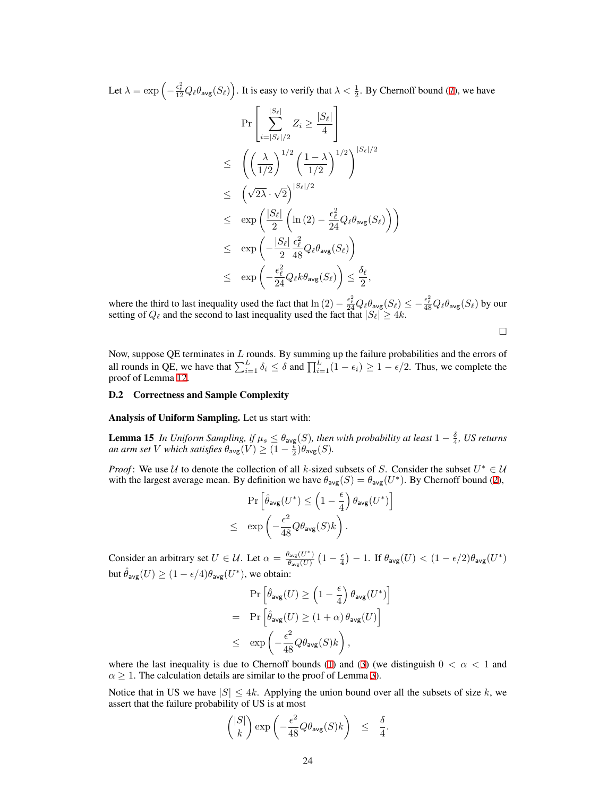Let  $\lambda = \exp\left(-\frac{\epsilon_\ell^2}{12}Q_\ell\theta_{\textsf{avg}}(S_\ell)\right)$ . It is easy to verify that  $\lambda < \frac{1}{2}$ . By Chernoff bound [\(7](#page-9-10)), we have

$$
\Pr\left[\sum_{i=|S_{\ell}|/2}^{|S_{\ell}|} Z_i \ge \frac{|S_{\ell}|}{4}\right] \\
\le \left(\left(\frac{\lambda}{1/2}\right)^{1/2} \left(\frac{1-\lambda}{1/2}\right)^{1/2}\right)^{|S_{\ell}|/2} \\
\le \left(\sqrt{2\lambda} \cdot \sqrt{2}\right)^{|S_{\ell}|/2} \\
\le \exp\left(\frac{|S_{\ell}|}{2} \left(\ln(2) - \frac{\epsilon_{\ell}^2}{24} Q_{\ell} \theta_{\text{avg}}(S_{\ell})\right)\right) \\
\le \exp\left(-\frac{|S_{\ell}|}{2} \frac{\epsilon_{\ell}^2}{48} Q_{\ell} \theta_{\text{avg}}(S_{\ell})\right) \\
\le \exp\left(-\frac{\epsilon_{\ell}^2}{24} Q_{\ell} k \theta_{\text{avg}}(S_{\ell})\right) \le \frac{\delta_{\ell}}{2},
$$

where the third to last inequality used the fact that  $\ln(2) - \frac{\epsilon_{\ell}^2}{24} Q_{\ell} \theta_{avg}(S_{\ell}) \le -\frac{\epsilon_{\ell}^2}{48} Q_{\ell} \theta_{avg}(S_{\ell})$  by our setting of  $Q_{\ell}$  and the second to last inequality used the fact that  $|S_{\ell}| \geq 4k$ .

□

Now, suppose QE terminates in *L* rounds. By summing up the failure probabilities and the errors of all rounds in QE, we have that  $\sum_{i=1}^{L} \delta_i \le \delta$  and  $\prod_{i=1}^{L} (1 - \epsilon_i) \ge 1 - \epsilon/2$ . Thus, we complete the proof of Lemma [12.](#page-20-6)

#### <span id="page-23-0"></span>D.2 Correctness and Sample Complexity

Analysis of Uniform Sampling. Let us start with:

**Lemma 15** *In Uniform Sampling, if*  $\mu_s \leq \theta_{\text{avg}}(S)$ *, then with probability at least*  $1 - \frac{\delta}{4}$ *, US returns an arm set V which satisfies*  $\theta_{\text{avg}}(V) \geq (1 - \frac{\epsilon}{2})\theta_{\text{avg}}(S)$ *.* 

*Proof*: We use  $U$  to denote the collection of all *k*-sized subsets of *S*. Consider the subset  $U^* \in U$ with the largest average mean. By definition we have  $\theta_{\text{avg}}(S) = \theta_{\text{avg}}(U^*)$ . By Chernoff bound [\(2](#page-9-5)),

$$
\begin{aligned} &\Pr\left[\hat{\theta}_{\text{avg}}(U^*)\leq \left(1-\frac{\epsilon}{4}\right)\theta_{\text{avg}}(U^*)\right] \\ \leq &\exp\left(-\frac{\epsilon^2}{48}Q\theta_{\text{avg}}(S)k\right). \end{aligned}
$$

Consider an arbitrary set  $U \in \mathcal{U}$ . Let  $\alpha = \frac{\theta_{avg}(U^*)}{\theta(U)}$  $\frac{\theta_{\mathsf{avg}}(U^*)}{\theta_{\mathsf{avg}}(U)}\left(1-\frac{\epsilon}{4}\right) - 1.$  If  $\theta_{\mathsf{avg}}(U) < (1-\epsilon/2)\theta_{\mathsf{avg}}(U^*)$ but  $\hat{\theta}_{\text{avg}}(U) \ge (1 - \epsilon/4) \theta_{\text{avg}}(U^*)$ , we obtain:

$$
\begin{aligned} &\Pr\left[\hat{\theta}_{\text{avg}}(U)\geq \left(1-\frac{\epsilon}{4}\right)\theta_{\text{avg}}(U^*)\right] \\ =&\Pr\left[\hat{\theta}_{\text{avg}}(U)\geq \left(1+\alpha\right)\theta_{\text{avg}}(U)\right] \\ \leq &\exp\left(-\frac{\epsilon^2}{48}Q\theta_{\text{avg}}(S)k\right), \end{aligned}
$$

where the last inequality is due to Chernoff bounds ([1\)](#page-9-4) and ([3\)](#page-9-6) (we distinguish  $0 < \alpha < 1$  and  $\alpha \geq 1$ . The calculation details are similar to the proof of Lemma [3](#page-10-1)).

Notice that in US we have  $|S| \leq 4k$ . Applying the union bound over all the subsets of size k, we assert that the failure probability of US is at most

$$
\binom{|S|}{k} \exp\left(-\frac{\epsilon^2}{48}Q\theta_{\text{avg}}(S)k\right) \leq \frac{\delta}{4}.
$$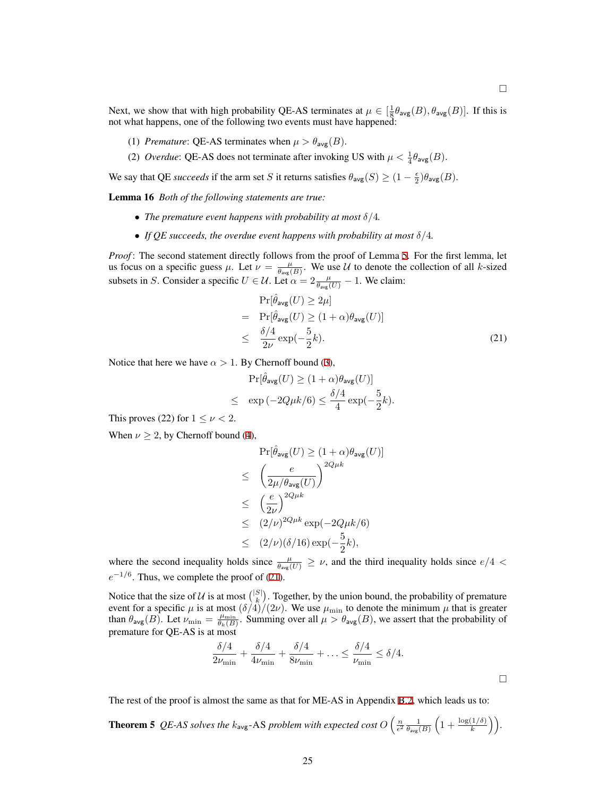□

Next, we show that with high probability QE-AS terminates at  $\mu \in [\frac{1}{8}\theta_{avg}(B), \theta_{avg}(B)]$ . If this is not what happens, one of the following two events must have happened:

- (1) *Premature*: QE-AS terminates when  $\mu > \theta_{\text{ave}}(B)$ .
- (2) *Overdue*: QE-AS does not terminate after invoking US with  $\mu < \frac{1}{4}\theta_{\text{avg}}(B)$ .

We say that QE *succeeds* if the arm set *S* it returns satisfies  $\theta_{\text{avg}}(S) \geq (1 - \frac{\epsilon}{2})\theta_{\text{avg}}(B)$ .

Lemma 16 *Both of the following statements are true:*

- *• The premature event happens with probability at most δ/*4*.*
- *• If QE succeeds, the overdue event happens with probability at most δ/*4*.*

*Proof* : The second statement directly follows from the proof of Lemma [5.](#page-12-2) For the first lemma, let us focus on a specific guess  $\mu$ . Let  $\nu = \frac{\mu}{\theta_{avg}(B)}$ . We use *U* to denote the collection of all *k*-sized subsets in *S*. Consider a specific  $U \in \mathcal{U}$ . Let  $\alpha = 2 \frac{\mu}{\theta_{avg}(U)} - 1$ . We claim:

<span id="page-24-0"></span>
$$
\Pr[\hat{\theta}_{\text{avg}}(U) \ge 2\mu]
$$
\n
$$
= \Pr[\hat{\theta}_{\text{avg}}(U) \ge (1+\alpha)\theta_{\text{avg}}(U)]
$$
\n
$$
\le \frac{\delta/4}{2\nu} \exp(-\frac{5}{2}k). \tag{21}
$$

Notice that here we have  $\alpha > 1$ . By Chernoff bound [\(3](#page-9-6)),

$$
\Pr[\hat{\theta}_{\text{avg}}(U) \ge (1+\alpha)\theta_{\text{avg}}(U)]
$$
  

$$
\le \exp(-2Q\mu k/6) \le \frac{\delta/4}{4}\exp(-\frac{5}{2}k).
$$

This proves (22) for  $1 \leq \nu < 2$ .

When  $\nu \geq 2$ , by Chernoff bound [\(4](#page-9-11)),

$$
\Pr[\hat{\theta}_{\text{avg}}(U) \ge (1+\alpha)\theta_{\text{avg}}(U)]
$$
\n
$$
\leq \left(\frac{e}{2\mu/\theta_{\text{avg}}(U)}\right)^{2Q\mu k}
$$
\n
$$
\leq \left(\frac{e}{2\nu}\right)^{2Q\mu k} \exp(-2Q\mu k/6)
$$
\n
$$
\leq (2/\nu)(\delta/16)\exp(-\frac{5}{2}k),
$$

where the second inequality holds since  $\frac{\mu}{\theta_{avg}(U)} \geq \nu$ , and the third inequality holds since  $e/4 < \frac{\mu}{\theta_{avg}(U)}$  $e^{-1/6}$ . Thus, we complete the proof of ([21\)](#page-24-0).

Notice that the size of *U* is at most  $\binom{|S|}{k}$ . Together, by the union bound, the probability of premature event for a specific  $\mu$  is at most  $(\delta/4)/(2\nu)$ . We use  $\mu_{\min}$  to denote the minimum  $\mu$  that is greater than  $\theta_{\text{avg}}(B)$ . Let  $\nu_{\text{min}} = \frac{\mu_{\text{min}}}{\theta_k(B)}$ . Summing over all  $\mu > \theta_{\text{avg}}(B)$ , we assert that the probability of premature for QE-AS is at most

$$
\frac{\delta/4}{2\nu_{\min}} + \frac{\delta/4}{4\nu_{\min}} + \frac{\delta/4}{8\nu_{\min}} + \ldots \le \frac{\delta/4}{\nu_{\min}} \le \delta/4.
$$

The rest of the proof is almost the same as that for ME-AS in Appendix [B.2](#page-12-0), which leads us to:

**Theorem 5** QE-AS solves the  $k_{\text{avg}}$ -AS problem with expected cost  $O\left(\frac{n}{\epsilon^2} \frac{1}{\theta_{\text{avg}}(B)} \left(1 + \frac{\log(1/\delta)}{k}\right)\right)$ .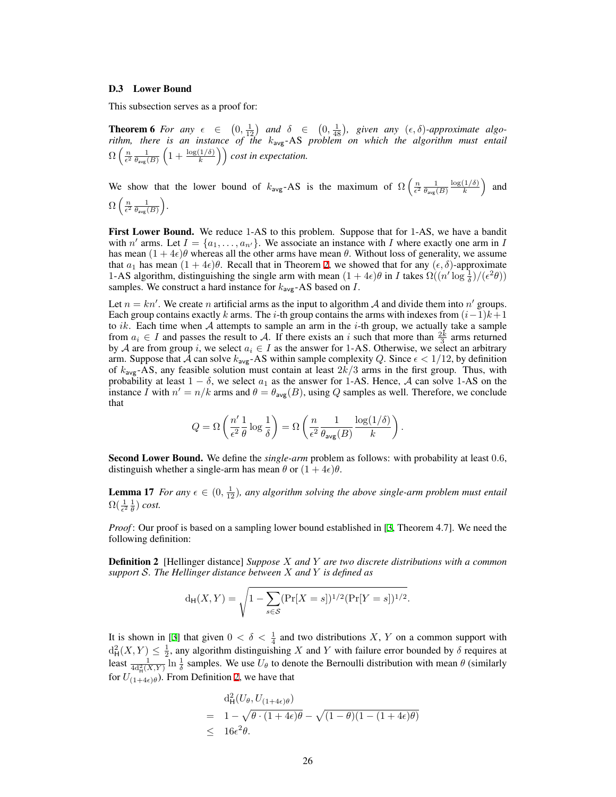#### <span id="page-25-0"></span>D.3 Lower Bound

This subsection serves as a proof for:

**Theorem 6** For any  $\epsilon \in (0, \frac{1}{12})$  and  $\delta \in (0, \frac{1}{48})$ , given any  $(\epsilon, \delta)$ -approximate algo*rithm, there is an instance of the k*avg-AS *problem on which the algorithm must entail*  $\Omega\left(\frac{n}{\epsilon^2}\frac{1}{\theta_{\sf avg}(B)}\left(1+\frac{\log(1/\delta)}{k}\right)\right)$  *cost in expectation.* 

We show that the lower bound of  $k_{avg}$ -AS is the maximum of  $\Omega\left(\frac{n}{\epsilon^2} \frac{1}{\theta_{avg}(B)}\right)$ log(1*/δ*)  $\left(\frac{1/\delta}{k}\right)$  and  $\Omega\left(\frac{n}{\epsilon^2}\frac{1}{\theta_\texttt{avg}(B)}\right)$ .

First Lower Bound. We reduce 1-AS to this problem. Suppose that for 1-AS, we have a bandit with *n'* arms. Let  $I = \{a_1, \ldots, a_{n'}\}$ . We associate an instance with *I* where exactly one arm in *I* has mean  $(1 + 4\epsilon)\theta$  whereas all the other arms have mean  $\theta$ . Without loss of generality, we assume that  $a_1$  has mean  $(1 + 4\epsilon)\theta$ . Recall that in Theorem [2,](#page-4-1) we showed that for any  $(\epsilon, \delta)$ -approximate 1-AS algorithm, distinguishing the single arm with mean  $(1 + 4\epsilon)\theta$  in *I* takes  $\Omega((n' \log \frac{1}{\delta})/(\epsilon^2 \theta))$ samples. We construct a hard instance for  $k_{avg}$ -AS based on *I*.

Let  $n = kn'$ . We create *n* artificial arms as the input to algorithm *A* and divide them into *n'* groups. Each group contains exactly *k* arms. The *i*-th group contains the arms with indexes from  $(i-1)k+1$ to *ik*. Each time when *A* attempts to sample an arm in the *i*-th group, we actually take a sample from  $a_i \in I$  and passes the result to *A*. If there exists an *i* such that more than  $\frac{2k}{3}$  arms returned by *A* are from group *i*, we select  $a_i \in I$  as the answer for 1-AS. Otherwise, we select an arbitrary arm. Suppose that  $\bar{A}$  can solve  $k_{avg}$ -AS within sample complexity  $Q$ . Since  $\epsilon < 1/12$ , by definition of *k*avg-AS, any feasible solution must contain at least 2*k/*3 arms in the first group. Thus, with probability at least  $1 - \delta$ , we select  $a_1$  as the answer for 1-AS. Hence, *A* can solve 1-AS on the instance *I* with  $n' = n/k$  arms and  $\theta = \theta_{\text{avg}}(B)$ , using *Q* samples as well. Therefore, we conclude that

$$
Q = \Omega\left(\frac{n'}{\epsilon^2} \frac{1}{\theta} \log \frac{1}{\delta}\right) = \Omega\left(\frac{n}{\epsilon^2} \frac{1}{\theta_{\text{avg}}(B)} \frac{\log(1/\delta)}{k}\right).
$$

Second Lower Bound. We define the *single-arm* problem as follows: with probability at least 0*.*6, distinguish whether a single-arm has mean  $\theta$  or  $(1 + 4\epsilon)\theta$ .

**Lemma 17** *For any*  $\epsilon \in (0, \frac{1}{12})$ *, any algorithm solving the above single-arm problem must entail*  $\Omega(\frac{1}{\epsilon^2}\frac{1}{\theta})$  cost.

*Proof*: Our proof is based on a sampling lower bound established in [\[3](#page-8-16), Theorem 4.7]. We need the following definition:

<span id="page-25-1"></span>Definition 2 [Hellinger distance] *Suppose X and Y are two discrete distributions with a common support S. The Hellinger distance between X and Y is defined as*

$$
d_{\mathsf{H}}(X,Y) = \sqrt{1 - \sum_{s \in \mathcal{S}} (\Pr[X=s])^{1/2} (\Pr[Y=s])^{1/2}}.
$$

It is shown in [[3\]](#page-8-16) that given  $0 < \delta < \frac{1}{4}$  and two distributions *X*, *Y* on a common support with  $d_H^2(X, Y) \leq \frac{1}{2}$ , any algorithm distinguishing *X* and *Y* with failure error bounded by *δ* requires at least  $\frac{1}{4d_H^2(X,Y)} \ln \frac{1}{\delta}$  samples. We use  $U_\theta$  to denote the Bernoulli distribution with mean  $\theta$  (similarly for  $U_{(1+4\epsilon)\theta}^{T_{\text{eq}}(2,1)}$  $U_{(1+4\epsilon)\theta}^{T_{\text{eq}}(2,1)}$  $U_{(1+4\epsilon)\theta}^{T_{\text{eq}}(2,1)}$ . From Definition 2, we have that

$$
d_H^2(U_{\theta}, U_{(1+4\epsilon)\theta})
$$
  
=  $1 - \sqrt{\theta \cdot (1 + 4\epsilon)\theta} - \sqrt{(1 - \theta)(1 - (1 + 4\epsilon)\theta)}$   
 $\leq 16\epsilon^2 \theta$ .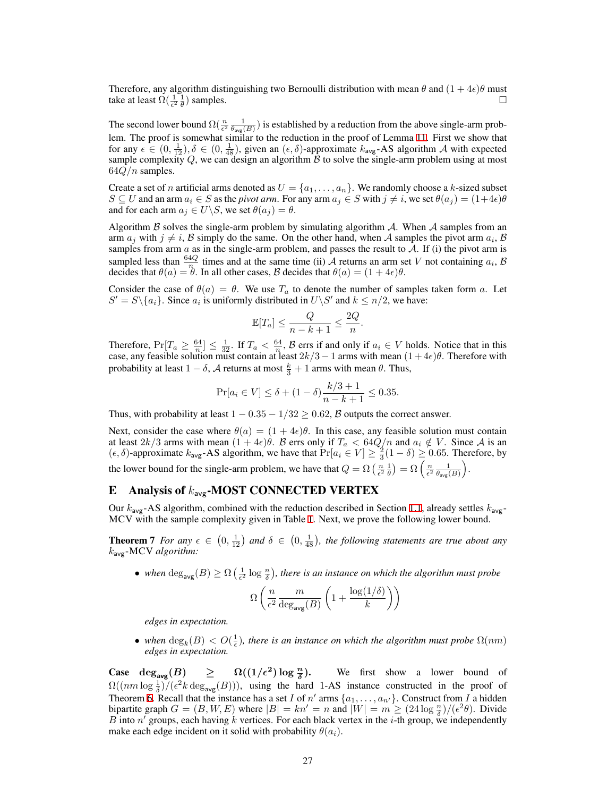Therefore, any algorithm distinguishing two Bernoulli distribution with mean  $\theta$  and  $(1 + 4\epsilon)\theta$  must take at least  $\Omega(\frac{1}{\epsilon^2} \frac{1}{\theta})$  samples.  $\Box$ 

The second lower bound  $\Omega(\frac{n}{\epsilon^2} \frac{1}{\theta_{avg}(B)})$  is established by a reduction from the above single-arm problem. The proof is somewhat similar to the reduction in the proof of Lemma [11.](#page-19-1) First we show that for any  $\epsilon \in (0, \frac{1}{12}), \delta \in (0, \frac{1}{48})$ , given an  $(\epsilon, \delta)$ -approximate  $k_{\text{avg}}$ -AS algorithm *A* with expected sample complexity  $Q$ , we can design an algorithm  $B$  to solve the single-arm problem using at most 64*Q/n* samples.

Create a set of *n* artificial arms denoted as  $U = \{a_1, \ldots, a_n\}$ . We randomly choose a *k*-sized subset  $S \subseteq U$  and an arm  $a_i \in S$  as the pivot arm. For any arm  $a_j \in S$  with  $j \neq i$ , we set  $\theta(a_j) = (1+4\epsilon)\theta$ and for each arm  $a_j \in U \backslash S$ , we set  $\theta(a_j) = \theta$ .

Algorithm *B* solves the single-arm problem by simulating algorithm *A*. When *A* samples from an arm  $a_j$  with  $j \neq i$ ,  $B$  simply do the same. On the other hand, when  $A$  samples the pivot arm  $a_i$ ,  $B$ samples from arm  $a$  as in the single-arm problem, and passes the result to  $A$ . If (i) the pivot arm is sampled less than  $\frac{64Q}{n}$  times and at the same time (ii) *A* returns an arm set *V* not containing  $a_i$ , *B* decides that  $\theta(a) = \theta$ . In all other cases,  $\beta$  decides that  $\theta(a) = (1 + 4\epsilon)\theta$ .

Consider the case of  $\theta(a) = \theta$ . We use  $T_a$  to denote the number of samples taken form *a*. Let  $S' = S \setminus \{a_i\}$ . Since  $a_i$  is uniformly distributed in  $U \setminus S'$  and  $k \leq n/2$ , we have:

$$
\mathbb{E}[T_a] \le \frac{Q}{n-k+1} \le \frac{2Q}{n}.
$$

Therefore,  $Pr[T_a \ge \frac{64}{n}] \le \frac{1}{32}$ . If  $T_a < \frac{64}{n}$ ,  $\beta$  errs if and only if  $a_i \in V$  holds. Notice that in this case, any feasible solution must contain at least 2*k/*3*−*1 arms with mean (1 + 4*ϵ*)*θ*. Therefore with probability at least  $1 - \delta$ , *A* returns at most  $\frac{k}{3} + 1$  arms with mean  $\theta$ . Thus,

$$
\Pr[a_i \in V] \le \delta + (1 - \delta) \frac{k/3 + 1}{n - k + 1} \le 0.35.
$$

Thus, with probability at least  $1 - 0.35 - 1/32 \ge 0.62$ , *B* outputs the correct answer.

Next, consider the case where  $\theta(a) = (1 + 4\epsilon)\theta$ . In this case, any feasible solution must contain at least  $2k/3$  arms with mean  $(1 + 4\epsilon)\theta$ . B errs only if  $T_a < 64Q/n$  and  $a_i \notin V$ . Since A is an  $(\epsilon, \delta)$ -approximate  $k_{avg}$ -AS algorithm, we have that  $Pr[a_i \in V] \ge \frac{2}{3}(1 - \delta) \ge 0.65$ . Therefore, by the lower bound for the single-arm problem, we have that  $Q = \Omega\left(\frac{n}{\epsilon^2} \frac{1}{\theta}\right) = \Omega\left(\frac{n}{\epsilon^2} \frac{1}{\theta_{avg}(B)}\right)$ .

# <span id="page-26-0"></span>E Analysis of *k*avg-MOST CONNECTED VERTEX

Our  $k_{avg}$ -AS algorithm, combined with the reduction described in Section [1.1](#page-0-0), already settles  $k_{avg}$ -MCV with the sample complexity given in Table [1](#page-3-1). Next, we prove the following lower bound.

**Theorem 7** *For any*  $\epsilon \in (0, \frac{1}{12})$  and  $\delta \in (0, \frac{1}{48})$ , the following statements are true about any *k*avg-MCV *algorithm:*

• *when*  $\deg_{avg}(B) \ge \Omega\left(\frac{1}{\epsilon^2} \log \frac{n}{\delta}\right)$ , there is an instance on which the algorithm must probe

$$
\Omega\left(\frac{n}{\epsilon^2} \frac{m}{\deg_{\text{avg}}(B)} \left(1 + \frac{\log(1/\delta)}{k}\right)\right)
$$

*edges in expectation.*

• *when*  $\deg_k(B) < O(\frac{1}{\epsilon})$ , there is an instance on which the algorithm must probe  $\Omega(nm)$ *edges in expectation.*

 $\text{Case} \quad \deg_{\text{avg}}(B) \geq 0$ **) log** *<sup>n</sup> δ* **)**. We first show a lower bound of  $\Omega((nm \log \frac{1}{\delta})/(\epsilon^2 k \deg_{avg}(B)))$ , using the hard 1-AS instance constructed in the proof of Theorem [6](#page-6-1). Recall that the instance has a set *I* of *n'* arms  $\{a_1, \ldots, a_{n'}\}$ . Construct from *I* a hidden bipartite graph  $G = (B, W, E)$  where  $|B| = kn' = n$  and  $|W| = m \ge (24 \log \frac{n}{\delta})/(\epsilon^2 \theta)$ . Divide *B* into *n ′* groups, each having *k* vertices. For each black vertex in the *i*-th group, we independently make each edge incident on it solid with probability  $\theta(a_i)$ .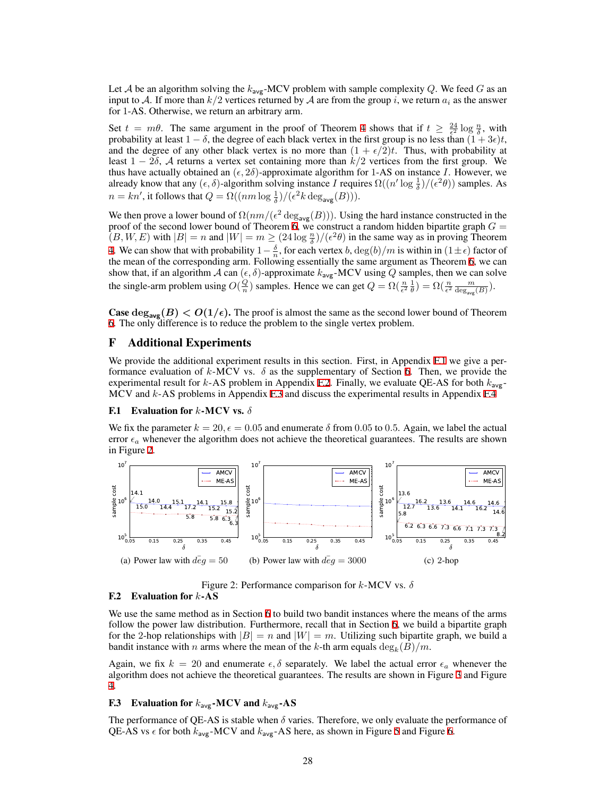Let *A* be an algorithm solving the  $k_{\text{avg}}$ -MCV problem with sample complexity *Q*. We feed *G* as an input to *A*. If more than  $k/2$  vertices returned by *A* are from the group *i*, we return  $a_i$  as the answer for 1-AS. Otherwise, we return an arbitrary arm.

Set  $t = m\theta$ . The same argument in the proof of Theorem [4](#page-5-1) shows that if  $t \ge \frac{24}{5} \log \frac{n}{\delta}$ , with probability at least  $1 - \delta$ , the degree of each black vertex in the first group is no less than  $(1 + 3\epsilon)t$ , and the degree of any other black vertex is no more than  $(1 + \epsilon/2)t$ . Thus, with probability at least 1 *−* 2*δ*, *A* returns a vertex set containing more than *k/*2 vertices from the first group. We thus have actually obtained an  $(\epsilon, 2\delta)$ -approximate algorithm for 1-AS on instance *I*. However, we already know that any  $(\epsilon, \delta)$ -algorithm solving instance *I* requires  $\Omega((n' \log \frac{1}{\delta})/(\epsilon^2 \theta))$  samples. As  $n = kn'$ , it follows that  $Q = \Omega((nm \log \frac{1}{\delta})/(\epsilon^2 k \deg_{avg}(B))).$ 

We then prove a lower bound of  $\Omega(nm/(\epsilon^2 \deg_{avg}(B)))$ . Using the hard instance constructed in the proof of the second lower bound of Theorem [6,](#page-6-1) we construct a random hidden bipartite graph  $G =$  $(B, W, E)$  with  $|B| = n$  and  $|W| = m \ge (24 \log \frac{n}{\delta})/(\epsilon^2 \theta)$  in the same way as in proving Theorem [4.](#page-5-1) We can show that with probability  $1-\frac{\delta}{n}$ , for each vertex *b*,  $\deg(b)/m$  is within in  $(1 \pm \epsilon)$  factor of the mean of the corresponding arm. Following essentially the same argument as Theorem [6](#page-6-1), we can show that, if an algorithm *A* can  $(\epsilon, \delta)$ -approximate  $k_{avg}$ -MCV using *Q* samples, then we can solve the single-arm problem using  $O(\frac{Q}{n})$  samples. Hence we can get  $Q = \Omega(\frac{n}{\epsilon^2} \frac{1}{\theta}) = \Omega(\frac{n}{\epsilon^2} \frac{m}{\text{deg}_{\text{avg}}(B)})$ .

**Case**  $\deg_{\text{avg}}(B) < O(1/\epsilon)$ . The proof is almost the same as the second lower bound of Theorem [6.](#page-6-1) The only difference is to reduce the problem to the single vertex problem.

## <span id="page-27-0"></span>F Additional Experiments

We provide the additional experiment results in this section. First, in Appendix [F.1](#page-27-1) we give a performance evaluation of  $k$ -MCV vs.  $\delta$  as the supplementary of Section [6.](#page-6-3) Then, we provide the experimental result for  $k$ -AS problem in Appendix [F.2](#page-27-2). Finally, we evaluate QE-AS for both  $k_{\text{avg}}$ MCV and *k*-AS problems in Appendix [F.3](#page-27-3) and discuss the experimental results in Appendix [F.4](#page-28-0)

#### <span id="page-27-1"></span>F.1 Evaluation for *k*-MCV vs. *δ*

We fix the parameter  $k = 20$ ,  $\epsilon = 0.05$  and enumerate  $\delta$  from 0.05 to 0.5. Again, we label the actual error  $\epsilon_a$  whenever the algorithm does not achieve the theoretical guarantees. The results are shown in Figure [2.](#page-27-4)



<span id="page-27-4"></span>Figure 2: Performance comparison for *k*-MCV vs. *δ*

#### <span id="page-27-2"></span>F.2 Evaluation for *k*-AS

We use the same method as in Section [6](#page-6-3) to build two bandit instances where the means of the arms follow the power law distribution. Furthermore, recall that in Section [6,](#page-6-3) we build a bipartite graph for the 2-hop relationships with  $|B| = n$  and  $|W| = m$ . Utilizing such bipartite graph, we build a bandit instance with *n* arms where the mean of the *k*-th arm equals  $\deg_k(B)/m$ .

Again, we fix  $k = 20$  and enumerate  $\epsilon, \delta$  separately. We label the actual error  $\epsilon_a$  whenever the algorithm does not achieve the theoretical guarantees. The results are shown in Figure [3](#page-28-1) and Figure [4.](#page-28-2)

## <span id="page-27-3"></span>F.3 Evaluation for *k*avg-MCV and *k*avg-AS

The performance of QE-AS is stable when  $\delta$  varies. Therefore, we only evaluate the performance of QE-AS vs  $\epsilon$  for both  $k_{\text{avg}}$ -MCV and  $k_{\text{avg}}$ -AS here, as shown in Figure [5](#page-28-3) and Figure [6](#page-28-4).